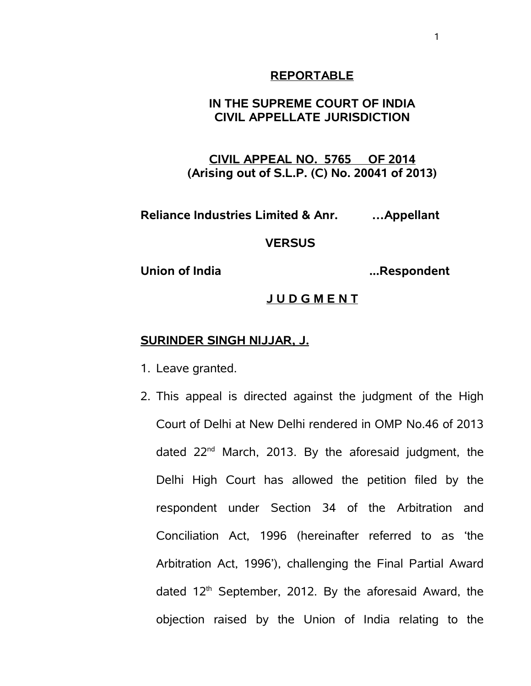#### **REPORTABLE**

## **IN THE SUPREME COURT OF INDIA CIVIL APPELLATE JURISDICTION**

**CIVIL APPEAL NO. 5765 OF 2014 (Arising out of S.L.P. (C) No. 20041 of 2013)**

**Reliance Industries Limited & Anr. …Appellant** 

#### **VERSUS**

**Union of India ...Respondent**

#### **J U D G M E N T**

#### **SURINDER SINGH NIJJAR, J.**

- 1. Leave granted.
- 2. This appeal is directed against the judgment of the High Court of Delhi at New Delhi rendered in OMP No.46 of 2013 dated 22<sup>nd</sup> March, 2013. By the aforesaid judgment, the Delhi High Court has allowed the petition filed by the respondent under Section 34 of the Arbitration and Conciliation Act, 1996 (hereinafter referred to as 'the Arbitration Act, 1996'), challenging the Final Partial Award dated  $12<sup>th</sup>$  September, 2012. By the aforesaid Award, the objection raised by the Union of India relating to the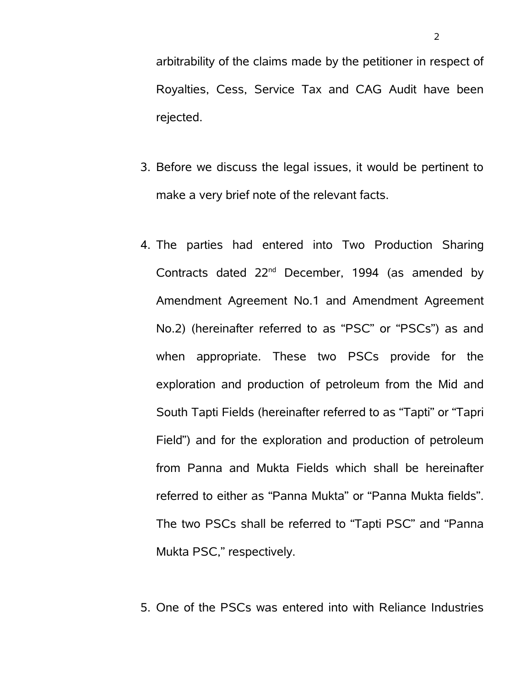arbitrability of the claims made by the petitioner in respect of Royalties, Cess, Service Tax and CAG Audit have been rejected.

- 3. Before we discuss the legal issues, it would be pertinent to make a very brief note of the relevant facts.
- 4. The parties had entered into Two Production Sharing Contracts dated  $22^{nd}$  December, 1994 (as amended by Amendment Agreement No.1 and Amendment Agreement No.2) (hereinafter referred to as "PSC" or "PSCs") as and when appropriate. These two PSCs provide for the exploration and production of petroleum from the Mid and South Tapti Fields (hereinafter referred to as "Tapti" or "Tapri Field") and for the exploration and production of petroleum from Panna and Mukta Fields which shall be hereinafter referred to either as "Panna Mukta" or "Panna Mukta fields". The two PSCs shall be referred to "Tapti PSC" and "Panna Mukta PSC," respectively.

5. One of the PSCs was entered into with Reliance Industries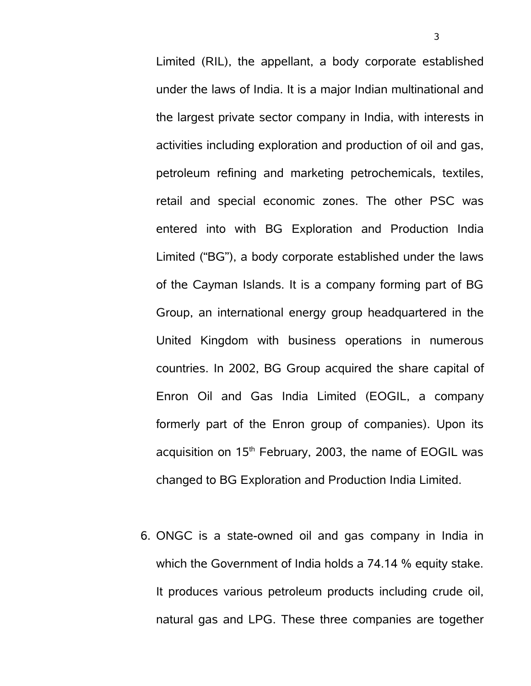Limited (RIL), the appellant, a body corporate established under the laws of India. It is a major Indian multinational and the largest private sector company in India, with interests in activities including exploration and production of oil and gas, petroleum refining and marketing petrochemicals, textiles, retail and special economic zones. The other PSC was entered into with BG Exploration and Production India Limited ("BG"), a body corporate established under the laws of the Cayman Islands. It is a company forming part of BG Group, an international energy group headquartered in the United Kingdom with business operations in numerous countries. In 2002, BG Group acquired the share capital of Enron Oil and Gas India Limited (EOGIL, a company formerly part of the Enron group of companies). Upon its acquisition on  $15<sup>th</sup>$  February, 2003, the name of EOGIL was changed to BG Exploration and Production India Limited.

6. ONGC is a state-owned oil and gas company in India in which the Government of India holds a 74.14 % equity stake. It produces various petroleum products including crude oil, natural gas and LPG. These three companies are together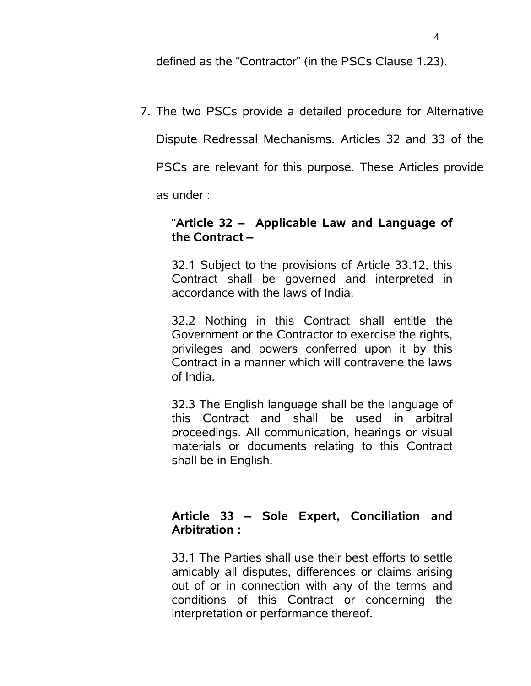defined as the "Contractor" (in the PSCs Clause 1.23).

7. The two PSCs provide a detailed procedure for Alternative

Dispute Redressal Mechanisms. Articles 32 and 33 of the

PSCs are relevant for this purpose. These Articles provide

as under :

## "**Article 32 – Applicable Law and Language of the Contract –**

32.1 Subject to the provisions of Article 33.12, this Contract shall be governed and interpreted in accordance with the laws of India.

32.2 Nothing in this Contract shall entitle the Government or the Contractor to exercise the rights, privileges and powers conferred upon it by this Contract in a manner which will contravene the laws of India.

32.3 The English language shall be the language of this Contract and shall be used in arbitral proceedings. All communication, hearings or visual materials or documents relating to this Contract shall be in English.

# **Article 33 – Sole Expert, Conciliation and Arbitration :**

33.1 The Parties shall use their best efforts to settle amicably all disputes, differences or claims arising out of or in connection with any of the terms and conditions of this Contract or concerning the interpretation or performance thereof.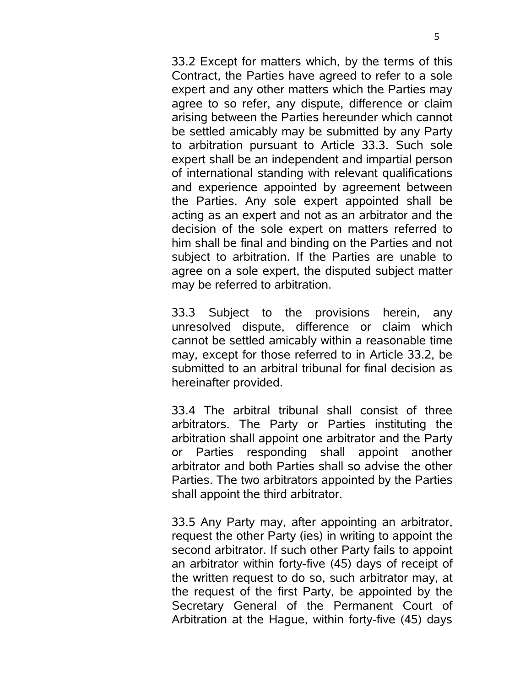33.2 Except for matters which, by the terms of this Contract, the Parties have agreed to refer to a sole expert and any other matters which the Parties may agree to so refer, any dispute, difference or claim arising between the Parties hereunder which cannot be settled amicably may be submitted by any Party to arbitration pursuant to Article 33.3. Such sole expert shall be an independent and impartial person of international standing with relevant qualifications and experience appointed by agreement between the Parties. Any sole expert appointed shall be acting as an expert and not as an arbitrator and the decision of the sole expert on matters referred to him shall be final and binding on the Parties and not subject to arbitration. If the Parties are unable to agree on a sole expert, the disputed subject matter may be referred to arbitration.

33.3 Subject to the provisions herein, any unresolved dispute, difference or claim which cannot be settled amicably within a reasonable time may, except for those referred to in Article 33.2, be submitted to an arbitral tribunal for final decision as hereinafter provided.

33.4 The arbitral tribunal shall consist of three arbitrators. The Party or Parties instituting the arbitration shall appoint one arbitrator and the Party or Parties responding shall appoint another arbitrator and both Parties shall so advise the other Parties. The two arbitrators appointed by the Parties shall appoint the third arbitrator.

33.5 Any Party may, after appointing an arbitrator, request the other Party (ies) in writing to appoint the second arbitrator. If such other Party fails to appoint an arbitrator within forty-five (45) days of receipt of the written request to do so, such arbitrator may, at the request of the first Party, be appointed by the Secretary General of the Permanent Court of Arbitration at the Hague, within forty-five (45) days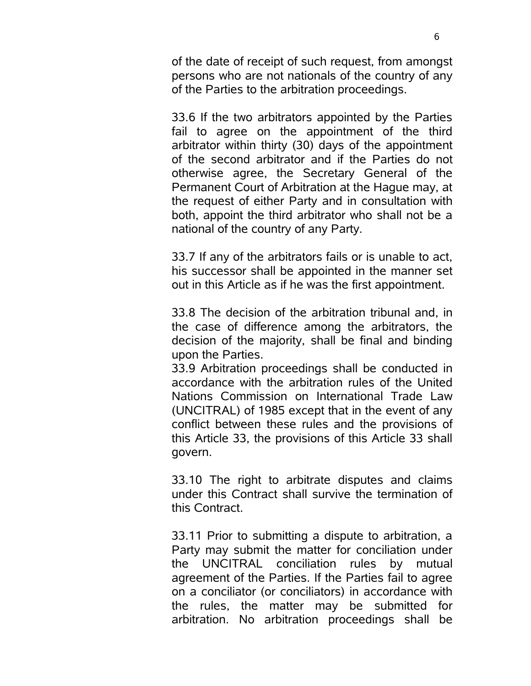of the date of receipt of such request, from amongst persons who are not nationals of the country of any of the Parties to the arbitration proceedings.

33.6 If the two arbitrators appointed by the Parties fail to agree on the appointment of the third arbitrator within thirty (30) days of the appointment of the second arbitrator and if the Parties do not otherwise agree, the Secretary General of the Permanent Court of Arbitration at the Hague may, at the request of either Party and in consultation with both, appoint the third arbitrator who shall not be a national of the country of any Party.

33.7 If any of the arbitrators fails or is unable to act, his successor shall be appointed in the manner set out in this Article as if he was the first appointment.

33.8 The decision of the arbitration tribunal and, in the case of difference among the arbitrators, the decision of the majority, shall be final and binding upon the Parties.

33.9 Arbitration proceedings shall be conducted in accordance with the arbitration rules of the United Nations Commission on International Trade Law (UNCITRAL) of 1985 except that in the event of any conflict between these rules and the provisions of this Article 33, the provisions of this Article 33 shall govern.

33.10 The right to arbitrate disputes and claims under this Contract shall survive the termination of this Contract.

33.11 Prior to submitting a dispute to arbitration, a Party may submit the matter for conciliation under the UNCITRAL conciliation rules by mutual agreement of the Parties. If the Parties fail to agree on a conciliator (or conciliators) in accordance with the rules, the matter may be submitted for arbitration. No arbitration proceedings shall be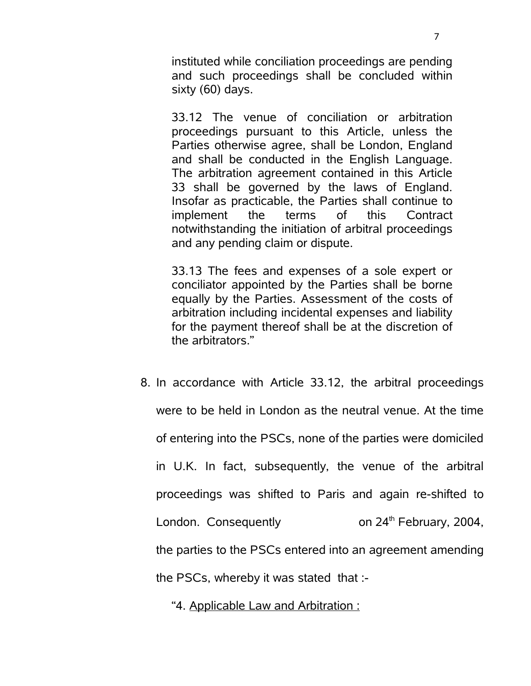instituted while conciliation proceedings are pending and such proceedings shall be concluded within sixty (60) days.

33.12 The venue of conciliation or arbitration proceedings pursuant to this Article, unless the Parties otherwise agree, shall be London, England and shall be conducted in the English Language. The arbitration agreement contained in this Article 33 shall be governed by the laws of England. Insofar as practicable, the Parties shall continue to implement the terms of this Contract notwithstanding the initiation of arbitral proceedings and any pending claim or dispute.

33.13 The fees and expenses of a sole expert or conciliator appointed by the Parties shall be borne equally by the Parties. Assessment of the costs of arbitration including incidental expenses and liability for the payment thereof shall be at the discretion of the arbitrators."

8. In accordance with Article 33.12, the arbitral proceedings were to be held in London as the neutral venue. At the time of entering into the PSCs, none of the parties were domiciled in U.K. In fact, subsequently, the venue of the arbitral proceedings was shifted to Paris and again re-shifted to London. Consequently  $\qquad \qquad$  on 24<sup>th</sup> February, 2004, the parties to the PSCs entered into an agreement amending the PSCs, whereby it was stated that :-

"4. Applicable Law and Arbitration :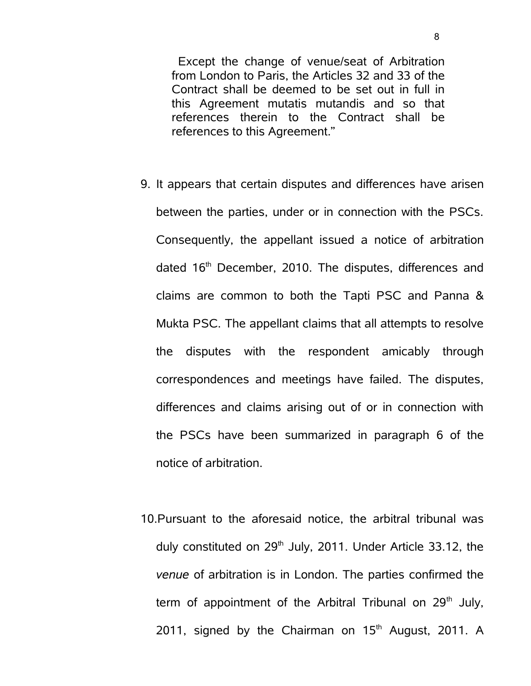Except the change of venue/seat of Arbitration from London to Paris, the Articles 32 and 33 of the Contract shall be deemed to be set out in full in this Agreement mutatis mutandis and so that references therein to the Contract shall be references to this Agreement."

- 9. It appears that certain disputes and differences have arisen between the parties, under or in connection with the PSCs. Consequently, the appellant issued a notice of arbitration dated 16<sup>th</sup> December, 2010. The disputes, differences and claims are common to both the Tapti PSC and Panna & Mukta PSC. The appellant claims that all attempts to resolve the disputes with the respondent amicably through correspondences and meetings have failed. The disputes, differences and claims arising out of or in connection with the PSCs have been summarized in paragraph 6 of the notice of arbitration.
- 10.Pursuant to the aforesaid notice, the arbitral tribunal was duly constituted on  $29<sup>th</sup>$  July, 2011. Under Article 33.12, the *venue* of arbitration is in London. The parties confirmed the term of appointment of the Arbitral Tribunal on  $29<sup>th</sup>$  July, 2011, signed by the Chairman on  $15<sup>th</sup>$  August, 2011. A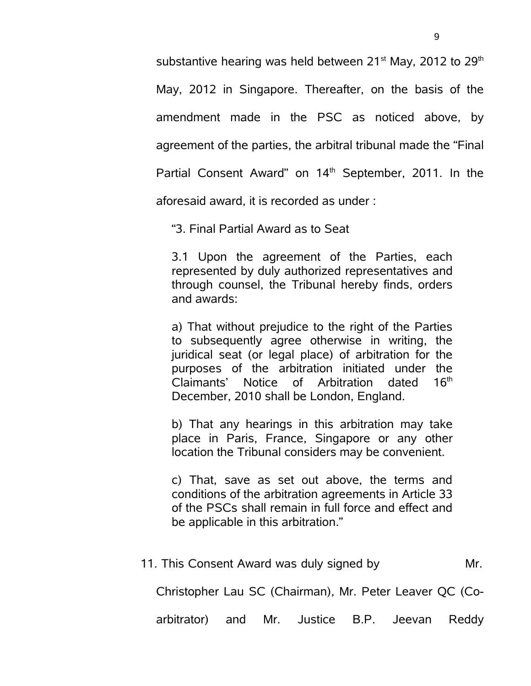substantive hearing was held between  $21<sup>st</sup>$  May, 2012 to  $29<sup>th</sup>$ May, 2012 in Singapore. Thereafter, on the basis of the amendment made in the PSC as noticed above, by agreement of the parties, the arbitral tribunal made the "Final Partial Consent Award" on 14<sup>th</sup> September, 2011. In the

aforesaid award, it is recorded as under :

"3. Final Partial Award as to Seat

3.1 Upon the agreement of the Parties, each represented by duly authorized representatives and through counsel, the Tribunal hereby finds, orders and awards:

a) That without prejudice to the right of the Parties to subsequently agree otherwise in writing, the juridical seat (or legal place) of arbitration for the purposes of the arbitration initiated under the Claimants' Notice of Arbitration dated  $16<sup>th</sup>$ December, 2010 shall be London, England.

b) That any hearings in this arbitration may take place in Paris, France, Singapore or any other location the Tribunal considers may be convenient.

c) That, save as set out above, the terms and conditions of the arbitration agreements in Article 33 of the PSCs shall remain in full force and effect and be applicable in this arbitration."

| Mr. | 11. This Consent Award was duly signed by |  |  |  |  |                                                         |
|-----|-------------------------------------------|--|--|--|--|---------------------------------------------------------|
|     |                                           |  |  |  |  | Christopher Lau SC (Chairman), Mr. Peter Leaver QC (Co- |
|     |                                           |  |  |  |  | arbitrator) and Mr. Justice B.P. Jeevan Reddy           |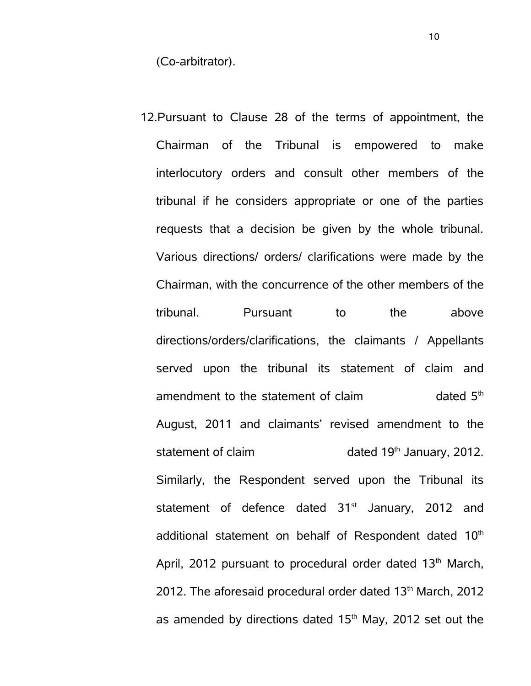(Co-arbitrator).

12.Pursuant to Clause 28 of the terms of appointment, the Chairman of the Tribunal is empowered to make interlocutory orders and consult other members of the tribunal if he considers appropriate or one of the parties requests that a decision be given by the whole tribunal. Various directions/ orders/ clarifications were made by the Chairman, with the concurrence of the other members of the tribunal. Pursuant to the above directions/orders/clarifications, the claimants / Appellants served upon the tribunal its statement of claim and amendment to the statement of claim  $\mu$  dated  $5<sup>th</sup>$ August, 2011 and claimants' revised amendment to the statement of claim dated  $19<sup>th</sup>$  January, 2012. Similarly, the Respondent served upon the Tribunal its statement of defence dated  $31<sup>st</sup>$  January, 2012 and additional statement on behalf of Respondent dated 10<sup>th</sup> April, 2012 pursuant to procedural order dated  $13<sup>th</sup>$  March, 2012. The aforesaid procedural order dated  $13<sup>th</sup>$  March, 2012 as amended by directions dated  $15<sup>th</sup>$  May, 2012 set out the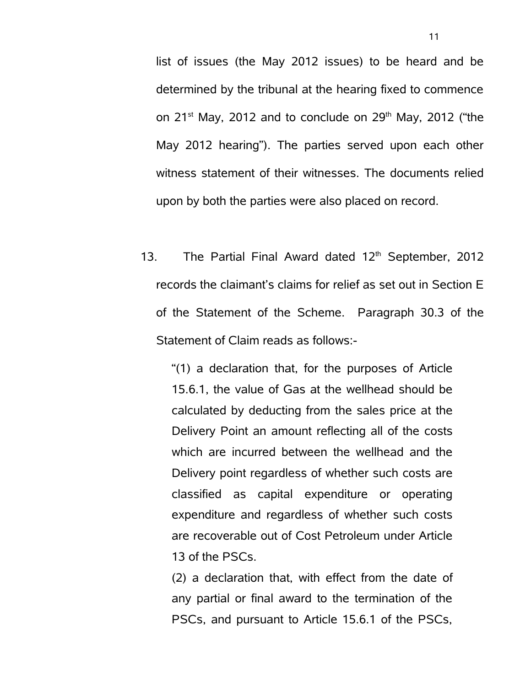list of issues (the May 2012 issues) to be heard and be determined by the tribunal at the hearing fixed to commence on  $21^{st}$  May, 2012 and to conclude on  $29^{th}$  May, 2012 ("the May 2012 hearing"). The parties served upon each other witness statement of their witnesses. The documents relied upon by both the parties were also placed on record.

13. The Partial Final Award dated  $12<sup>th</sup>$  September, 2012 records the claimant's claims for relief as set out in Section E of the Statement of the Scheme. Paragraph 30.3 of the Statement of Claim reads as follows:-

"(1) a declaration that, for the purposes of Article 15.6.1, the value of Gas at the wellhead should be calculated by deducting from the sales price at the Delivery Point an amount reflecting all of the costs which are incurred between the wellhead and the Delivery point regardless of whether such costs are classified as capital expenditure or operating expenditure and regardless of whether such costs are recoverable out of Cost Petroleum under Article 13 of the PSCs.

(2) a declaration that, with effect from the date of any partial or final award to the termination of the PSCs, and pursuant to Article 15.6.1 of the PSCs,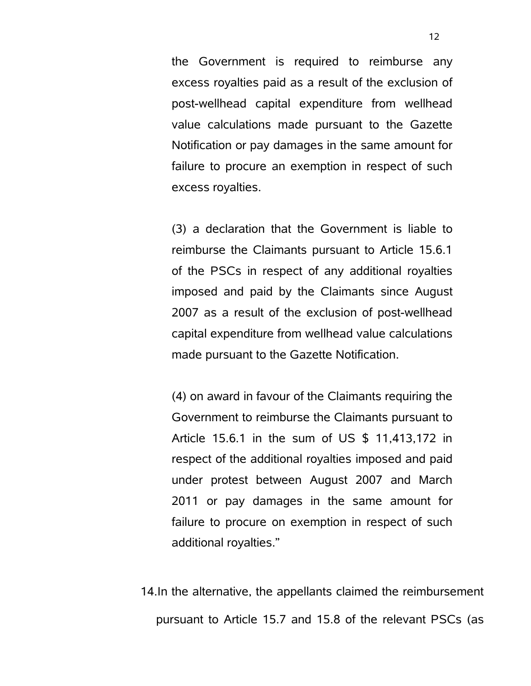the Government is required to reimburse any excess royalties paid as a result of the exclusion of post-wellhead capital expenditure from wellhead value calculations made pursuant to the Gazette Notification or pay damages in the same amount for failure to procure an exemption in respect of such excess royalties.

(3) a declaration that the Government is liable to reimburse the Claimants pursuant to Article 15.6.1 of the PSCs in respect of any additional royalties imposed and paid by the Claimants since August 2007 as a result of the exclusion of post-wellhead capital expenditure from wellhead value calculations made pursuant to the Gazette Notification.

(4) on award in favour of the Claimants requiring the Government to reimburse the Claimants pursuant to Article 15.6.1 in the sum of US \$ 11,413,172 in respect of the additional royalties imposed and paid under protest between August 2007 and March 2011 or pay damages in the same amount for failure to procure on exemption in respect of such additional royalties."

14.In the alternative, the appellants claimed the reimbursement pursuant to Article 15.7 and 15.8 of the relevant PSCs (as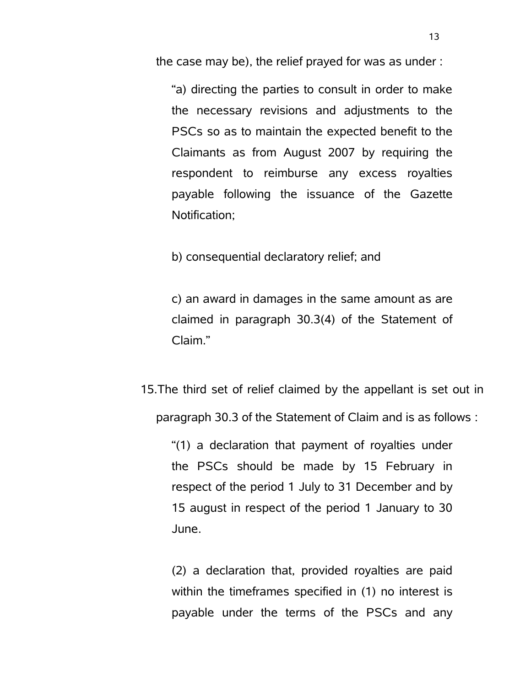the case may be), the relief prayed for was as under :

"a) directing the parties to consult in order to make the necessary revisions and adjustments to the PSCs so as to maintain the expected benefit to the Claimants as from August 2007 by requiring the respondent to reimburse any excess royalties payable following the issuance of the Gazette Notification;

b) consequential declaratory relief; and

c) an award in damages in the same amount as are claimed in paragraph 30.3(4) of the Statement of Claim."

15.The third set of relief claimed by the appellant is set out in paragraph 30.3 of the Statement of Claim and is as follows :

"(1) a declaration that payment of royalties under the PSCs should be made by 15 February in respect of the period 1 July to 31 December and by 15 august in respect of the period 1 January to 30 June.

(2) a declaration that, provided royalties are paid within the timeframes specified in (1) no interest is payable under the terms of the PSCs and any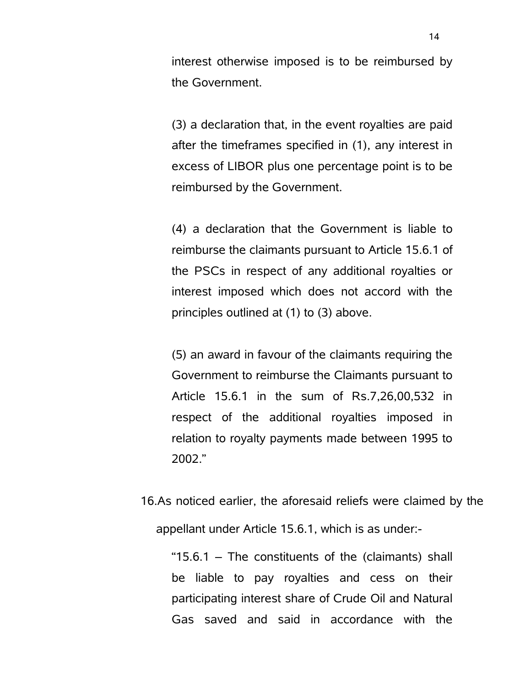interest otherwise imposed is to be reimbursed by the Government.

(3) a declaration that, in the event royalties are paid after the timeframes specified in (1), any interest in excess of LIBOR plus one percentage point is to be reimbursed by the Government.

(4) a declaration that the Government is liable to reimburse the claimants pursuant to Article 15.6.1 of the PSCs in respect of any additional royalties or interest imposed which does not accord with the principles outlined at (1) to (3) above.

(5) an award in favour of the claimants requiring the Government to reimburse the Claimants pursuant to Article 15.6.1 in the sum of Rs.7,26,00,532 in respect of the additional royalties imposed in relation to royalty payments made between 1995 to 2002."

16.As noticed earlier, the aforesaid reliefs were claimed by the appellant under Article 15.6.1, which is as under:-

"15.6.1 – The constituents of the (claimants) shall be liable to pay royalties and cess on their participating interest share of Crude Oil and Natural Gas saved and said in accordance with the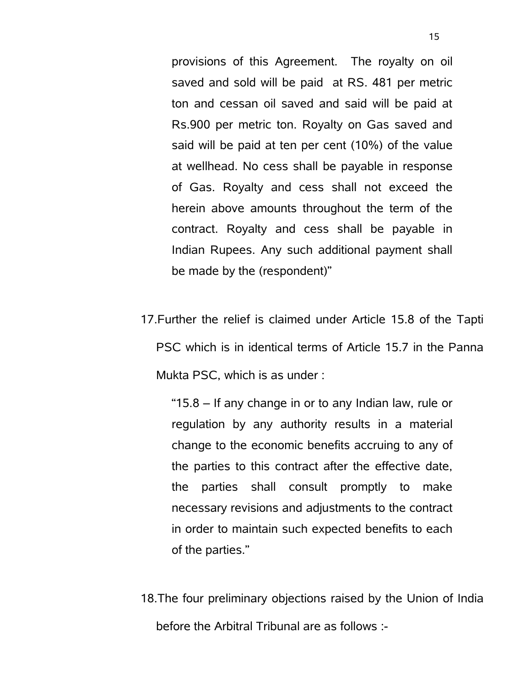provisions of this Agreement. The royalty on oil saved and sold will be paid at RS. 481 per metric ton and cessan oil saved and said will be paid at Rs.900 per metric ton. Royalty on Gas saved and said will be paid at ten per cent (10%) of the value at wellhead. No cess shall be payable in response of Gas. Royalty and cess shall not exceed the herein above amounts throughout the term of the contract. Royalty and cess shall be payable in Indian Rupees. Any such additional payment shall be made by the (respondent)"

17.Further the relief is claimed under Article 15.8 of the Tapti PSC which is in identical terms of Article 15.7 in the Panna Mukta PSC, which is as under :

"15.8 – If any change in or to any Indian law, rule or regulation by any authority results in a material change to the economic benefits accruing to any of the parties to this contract after the effective date, the parties shall consult promptly to make necessary revisions and adjustments to the contract in order to maintain such expected benefits to each of the parties."

18.The four preliminary objections raised by the Union of India before the Arbitral Tribunal are as follows :-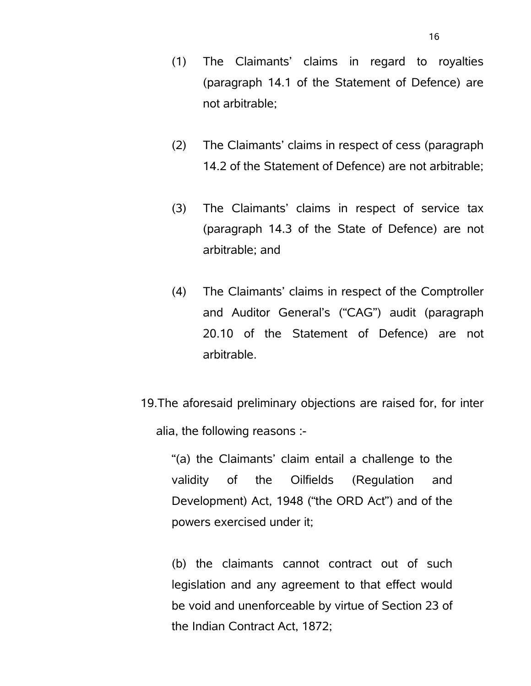- (1) The Claimants' claims in regard to royalties (paragraph 14.1 of the Statement of Defence) are not arbitrable;
- (2) The Claimants' claims in respect of cess (paragraph 14.2 of the Statement of Defence) are not arbitrable;
- (3) The Claimants' claims in respect of service tax (paragraph 14.3 of the State of Defence) are not arbitrable; and
- (4) The Claimants' claims in respect of the Comptroller and Auditor General's ("CAG") audit (paragraph 20.10 of the Statement of Defence) are not arbitrable.
- 19.The aforesaid preliminary objections are raised for, for inter alia, the following reasons :-

"(a) the Claimants' claim entail a challenge to the validity of the Oilfields (Regulation and Development) Act, 1948 ("the ORD Act") and of the powers exercised under it;

(b) the claimants cannot contract out of such legislation and any agreement to that effect would be void and unenforceable by virtue of Section 23 of the Indian Contract Act, 1872;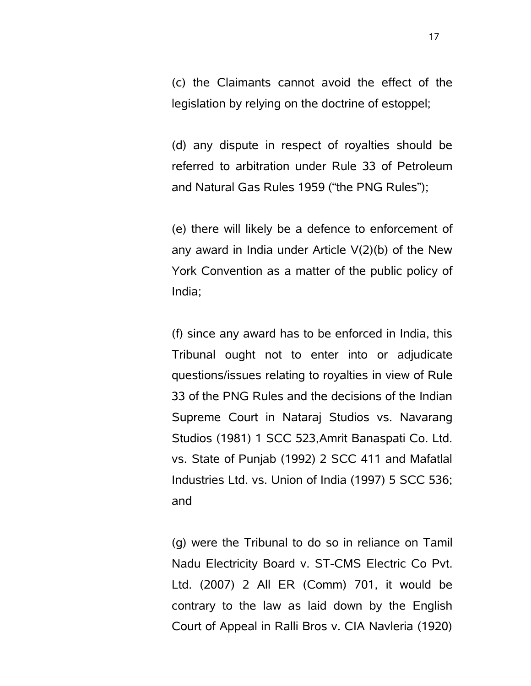(c) the Claimants cannot avoid the effect of the legislation by relying on the doctrine of estoppel;

(d) any dispute in respect of royalties should be referred to arbitration under Rule 33 of Petroleum and Natural Gas Rules 1959 ("the PNG Rules");

(e) there will likely be a defence to enforcement of any award in India under Article V(2)(b) of the New York Convention as a matter of the public policy of India;

(f) since any award has to be enforced in India, this Tribunal ought not to enter into or adjudicate questions/issues relating to royalties in view of Rule 33 of the PNG Rules and the decisions of the Indian Supreme Court in Nataraj Studios vs. Navarang Studios (1981) 1 SCC 523,Amrit Banaspati Co. Ltd. vs. State of Punjab (1992) 2 SCC 411 and Mafatlal Industries Ltd. vs. Union of India (1997) 5 SCC 536; and

(g) were the Tribunal to do so in reliance on Tamil Nadu Electricity Board v. ST-CMS Electric Co Pvt. Ltd. (2007) 2 All ER (Comm) 701, it would be contrary to the law as laid down by the English Court of Appeal in Ralli Bros v. CIA Navleria (1920)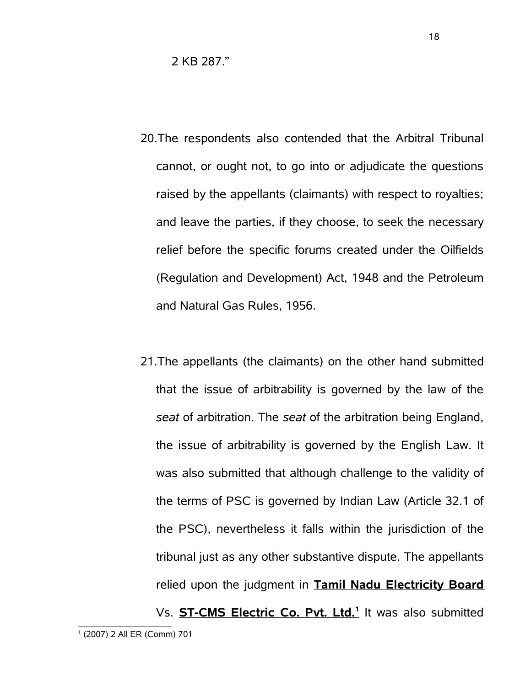2 KB 287."

- 20.The respondents also contended that the Arbitral Tribunal cannot, or ought not, to go into or adjudicate the questions raised by the appellants (claimants) with respect to royalties; and leave the parties, if they choose, to seek the necessary relief before the specific forums created under the Oilfields (Regulation and Development) Act, 1948 and the Petroleum and Natural Gas Rules, 1956.
- <span id="page-17-0"></span>21.The appellants (the claimants) on the other hand submitted that the issue of arbitrability is governed by the law of the *seat* of arbitration. The *seat* of the arbitration being England, the issue of arbitrability is governed by the English Law. It was also submitted that although challenge to the validity of the terms of PSC is governed by Indian Law (Article 32.1 of the PSC), nevertheless it falls within the jurisdiction of the tribunal just as any other substantive dispute. The appellants relied upon the judgment in **Tamil Nadu Electricity Board** Vs. **ST-CMS Electric Co. Pvt. Ltd.<sup>1</sup>** It was also submitted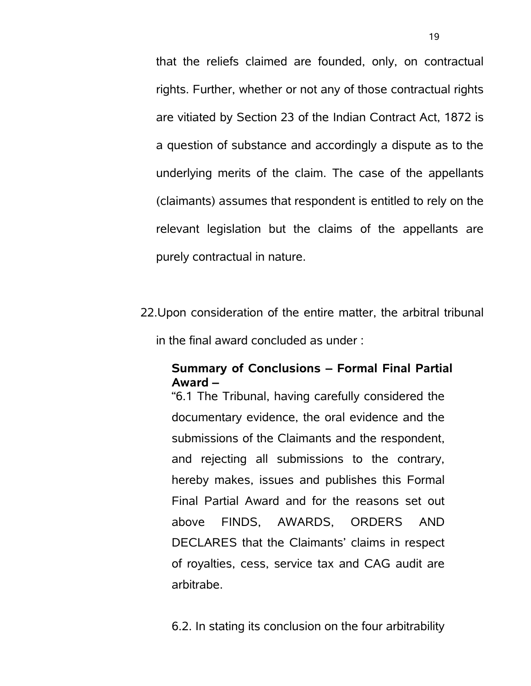that the reliefs claimed are founded, only, on contractual rights. Further, whether or not any of those contractual rights are vitiated by Section 23 of the Indian Contract Act, 1872 is a question of substance and accordingly a dispute as to the underlying merits of the claim. The case of the appellants (claimants) assumes that respondent is entitled to rely on the relevant legislation but the claims of the appellants are purely contractual in nature.

22.Upon consideration of the entire matter, the arbitral tribunal in the final award concluded as under :

## **Summary of Conclusions – Formal Final Partial Award –**

"6.1 The Tribunal, having carefully considered the documentary evidence, the oral evidence and the submissions of the Claimants and the respondent, and rejecting all submissions to the contrary, hereby makes, issues and publishes this Formal Final Partial Award and for the reasons set out above FINDS, AWARDS, ORDERS AND DECLARES that the Claimants' claims in respect of royalties, cess, service tax and CAG audit are arbitrabe.

6.2. In stating its conclusion on the four arbitrability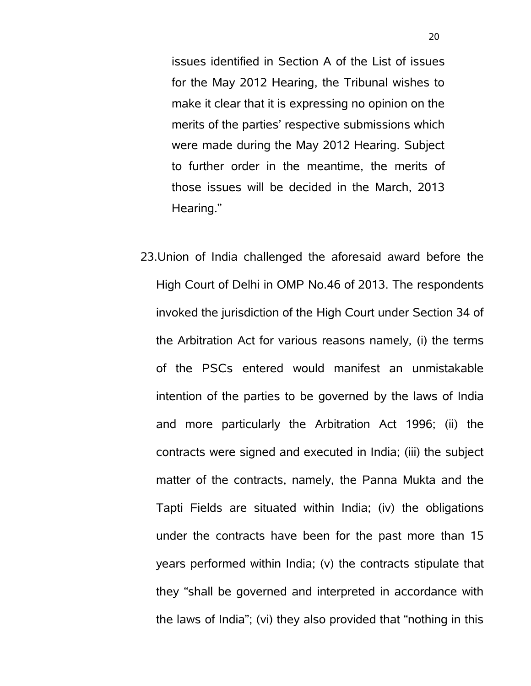issues identified in Section A of the List of issues for the May 2012 Hearing, the Tribunal wishes to make it clear that it is expressing no opinion on the merits of the parties' respective submissions which were made during the May 2012 Hearing. Subject to further order in the meantime, the merits of those issues will be decided in the March, 2013 Hearing."

23.Union of India challenged the aforesaid award before the High Court of Delhi in OMP No.46 of 2013. The respondents invoked the jurisdiction of the High Court under Section 34 of the Arbitration Act for various reasons namely, (i) the terms of the PSCs entered would manifest an unmistakable intention of the parties to be governed by the laws of India and more particularly the Arbitration Act 1996; (ii) the contracts were signed and executed in India; (iii) the subject matter of the contracts, namely, the Panna Mukta and the Tapti Fields are situated within India; (iv) the obligations under the contracts have been for the past more than 15 years performed within India; (v) the contracts stipulate that they "shall be governed and interpreted in accordance with the laws of India"; (vi) they also provided that "nothing in this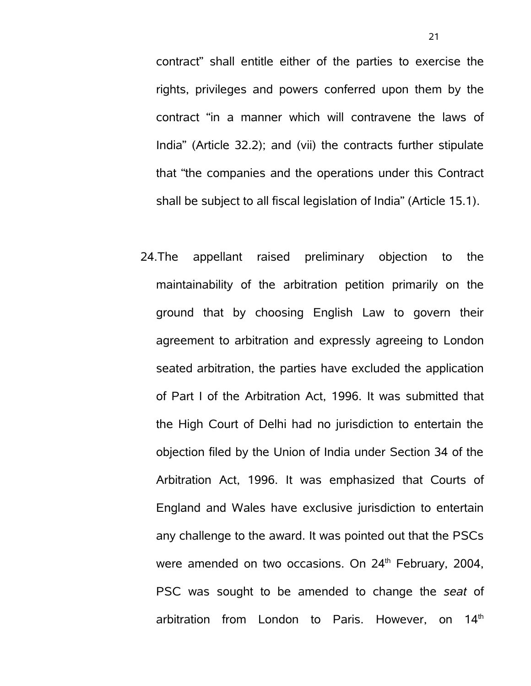contract" shall entitle either of the parties to exercise the rights, privileges and powers conferred upon them by the contract "in a manner which will contravene the laws of India" (Article 32.2); and (vii) the contracts further stipulate that "the companies and the operations under this Contract shall be subject to all fiscal legislation of India" (Article 15.1).

24.The appellant raised preliminary objection to the maintainability of the arbitration petition primarily on the ground that by choosing English Law to govern their agreement to arbitration and expressly agreeing to London seated arbitration, the parties have excluded the application of Part I of the Arbitration Act, 1996. It was submitted that the High Court of Delhi had no jurisdiction to entertain the objection filed by the Union of India under Section 34 of the Arbitration Act, 1996. It was emphasized that Courts of England and Wales have exclusive jurisdiction to entertain any challenge to the award. It was pointed out that the PSCs were amended on two occasions. On  $24<sup>th</sup>$  February, 2004, PSC was sought to be amended to change the *seat* of arbitration from London to Paris. However, on  $14<sup>th</sup>$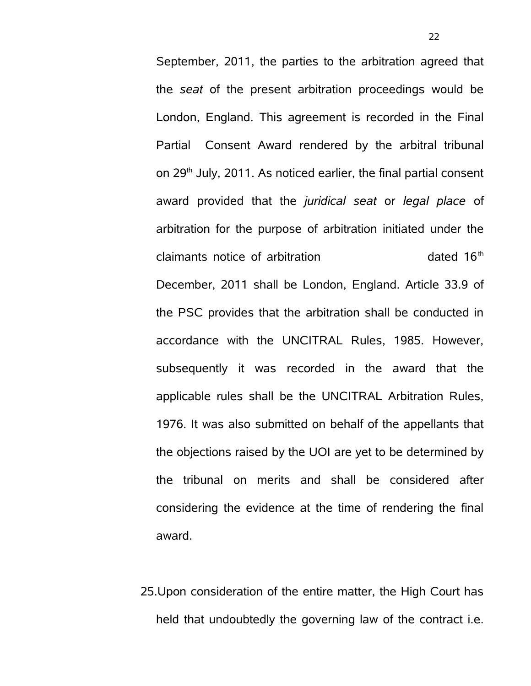September, 2011, the parties to the arbitration agreed that the *seat* of the present arbitration proceedings would be London, England. This agreement is recorded in the Final Partial Consent Award rendered by the arbitral tribunal on 29th July, 2011. As noticed earlier, the final partial consent award provided that the *juridical seat* or *legal place* of arbitration for the purpose of arbitration initiated under the claimants notice of arbitration example to the dated 16<sup>th</sup> December, 2011 shall be London, England. Article 33.9 of the PSC provides that the arbitration shall be conducted in accordance with the UNCITRAL Rules, 1985. However, subsequently it was recorded in the award that the applicable rules shall be the UNCITRAL Arbitration Rules, 1976. It was also submitted on behalf of the appellants that the objections raised by the UOI are yet to be determined by the tribunal on merits and shall be considered after considering the evidence at the time of rendering the final award.

25.Upon consideration of the entire matter, the High Court has held that undoubtedly the governing law of the contract i.e.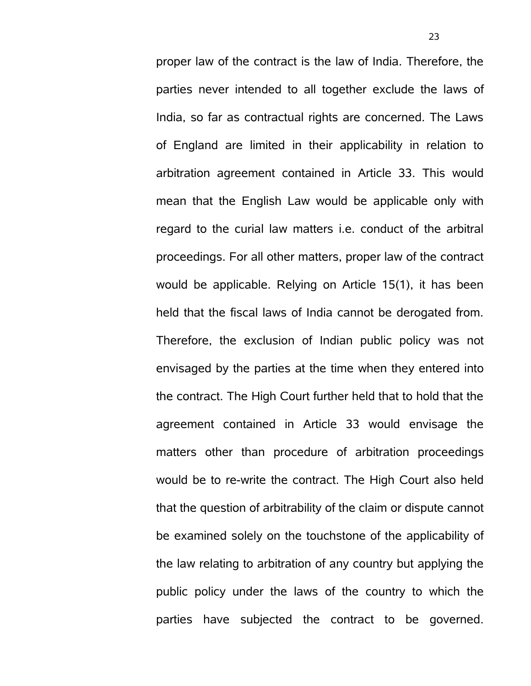proper law of the contract is the law of India. Therefore, the parties never intended to all together exclude the laws of India, so far as contractual rights are concerned. The Laws of England are limited in their applicability in relation to arbitration agreement contained in Article 33. This would mean that the English Law would be applicable only with regard to the curial law matters i.e. conduct of the arbitral proceedings. For all other matters, proper law of the contract would be applicable. Relying on Article 15(1), it has been held that the fiscal laws of India cannot be derogated from. Therefore, the exclusion of Indian public policy was not envisaged by the parties at the time when they entered into the contract. The High Court further held that to hold that the agreement contained in Article 33 would envisage the matters other than procedure of arbitration proceedings would be to re-write the contract. The High Court also held that the question of arbitrability of the claim or dispute cannot be examined solely on the touchstone of the applicability of the law relating to arbitration of any country but applying the public policy under the laws of the country to which the parties have subjected the contract to be governed.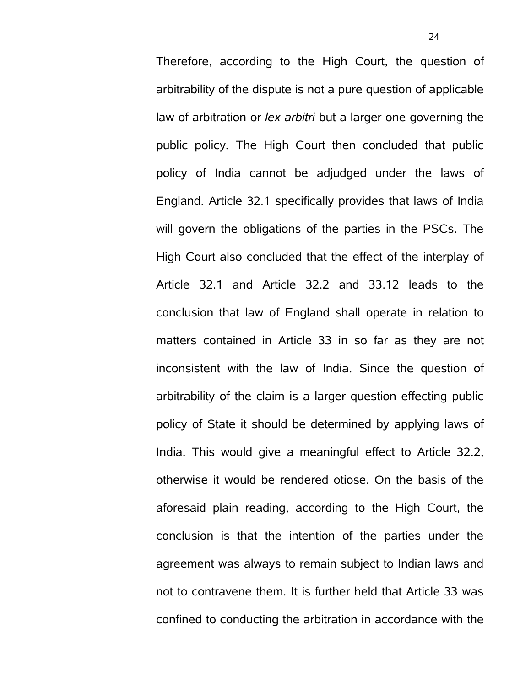Therefore, according to the High Court, the question of arbitrability of the dispute is not a pure question of applicable law of arbitration or *lex arbitri* but a larger one governing the public policy. The High Court then concluded that public policy of India cannot be adjudged under the laws of England. Article 32.1 specifically provides that laws of India will govern the obligations of the parties in the PSCs. The High Court also concluded that the effect of the interplay of Article 32.1 and Article 32.2 and 33.12 leads to the conclusion that law of England shall operate in relation to matters contained in Article 33 in so far as they are not inconsistent with the law of India. Since the question of arbitrability of the claim is a larger question effecting public policy of State it should be determined by applying laws of India. This would give a meaningful effect to Article 32.2, otherwise it would be rendered otiose. On the basis of the aforesaid plain reading, according to the High Court, the conclusion is that the intention of the parties under the agreement was always to remain subject to Indian laws and not to contravene them. It is further held that Article 33 was confined to conducting the arbitration in accordance with the

24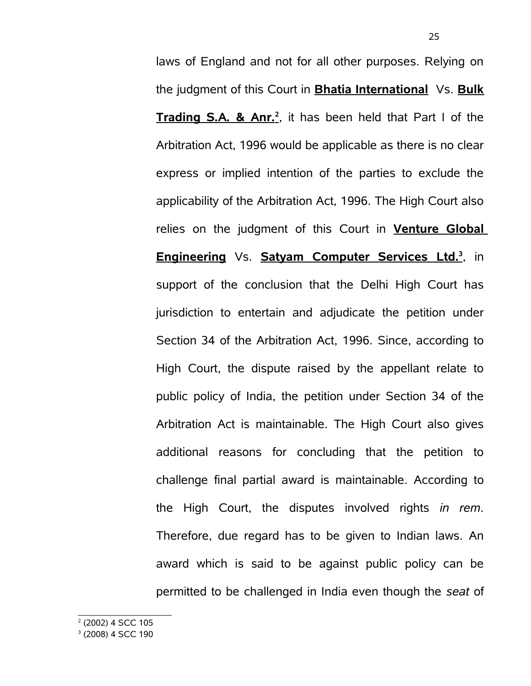<span id="page-24-1"></span><span id="page-24-0"></span>laws of England and not for all other purposes. Relying on the judgment of this Court in **Bhatia International** Vs. **Bulk Trading S.A. & Anr.<sup>2</sup>** , it has been held that Part I of the Arbitration Act, 1996 would be applicable as there is no clear express or implied intention of the parties to exclude the applicability of the Arbitration Act, 1996. The High Court also relies on the judgment of this Court in **Venture Global Engineering** Vs. **Satyam Computer Services Ltd.<sup>3</sup>** , in support of the conclusion that the Delhi High Court has jurisdiction to entertain and adjudicate the petition under Section 34 of the Arbitration Act, 1996. Since, according to High Court, the dispute raised by the appellant relate to public policy of India, the petition under Section 34 of the Arbitration Act is maintainable. The High Court also gives additional reasons for concluding that the petition to challenge final partial award is maintainable. According to the High Court, the disputes involved rights *in rem*. Therefore, due regard has to be given to Indian laws. An award which is said to be against public policy can be permitted to be challenged in India even though the *seat* of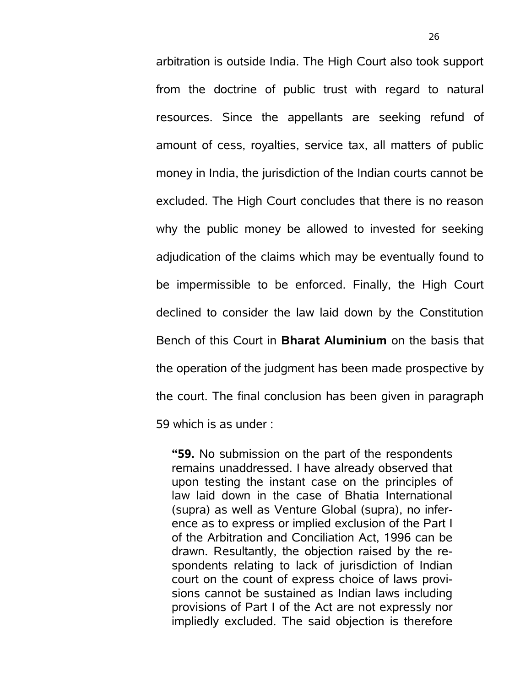arbitration is outside India. The High Court also took support from the doctrine of public trust with regard to natural resources. Since the appellants are seeking refund of amount of cess, royalties, service tax, all matters of public money in India, the jurisdiction of the Indian courts cannot be excluded. The High Court concludes that there is no reason why the public money be allowed to invested for seeking adjudication of the claims which may be eventually found to be impermissible to be enforced. Finally, the High Court declined to consider the law laid down by the Constitution Bench of this Court in **Bharat Aluminium** on the basis that the operation of the judgment has been made prospective by the court. The final conclusion has been given in paragraph 59 which is as under :

**"59.** No submission on the part of the respondents remains unaddressed. I have already observed that upon testing the instant case on the principles of law laid down in the case of Bhatia International (supra) as well as Venture Global (supra), no inference as to express or implied exclusion of the Part I of the Arbitration and Conciliation Act, 1996 can be drawn. Resultantly, the objection raised by the respondents relating to lack of jurisdiction of Indian court on the count of express choice of laws provisions cannot be sustained as Indian laws including provisions of Part I of the Act are not expressly nor impliedly excluded. The said objection is therefore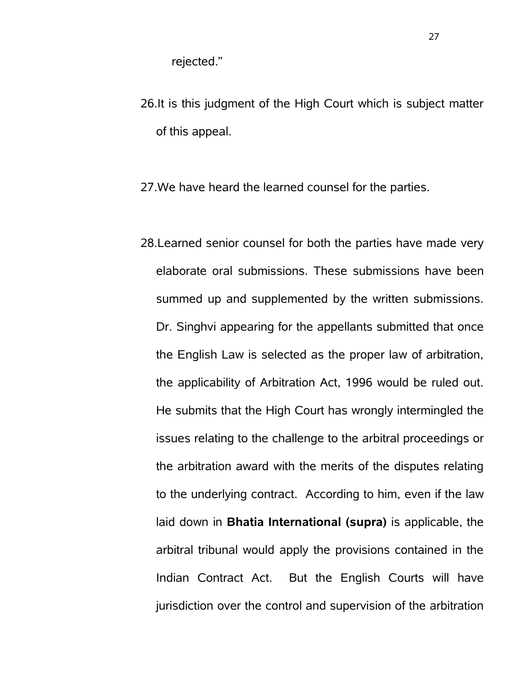rejected."

- 26.It is this judgment of the High Court which is subject matter of this appeal.
- 27.We have heard the learned counsel for the parties.
- 28.Learned senior counsel for both the parties have made very elaborate oral submissions. These submissions have been summed up and supplemented by the written submissions. Dr. Singhvi appearing for the appellants submitted that once the English Law is selected as the proper law of arbitration, the applicability of Arbitration Act, 1996 would be ruled out. He submits that the High Court has wrongly intermingled the issues relating to the challenge to the arbitral proceedings or the arbitration award with the merits of the disputes relating to the underlying contract. According to him, even if the law laid down in **Bhatia International (supra)** is applicable, the arbitral tribunal would apply the provisions contained in the Indian Contract Act. But the English Courts will have jurisdiction over the control and supervision of the arbitration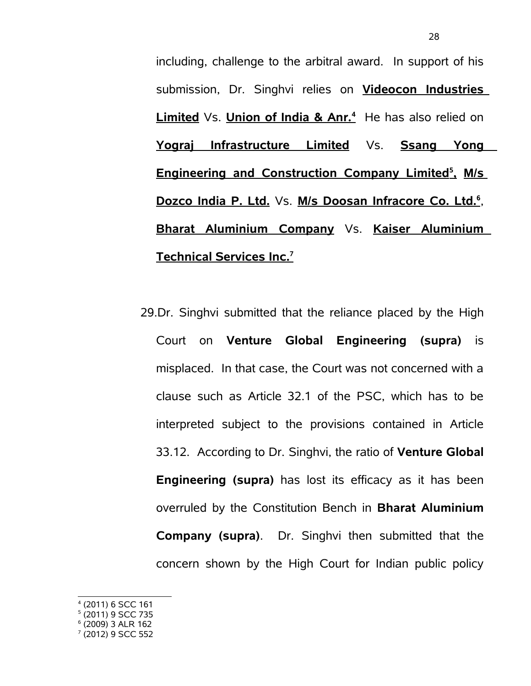including, challenge to the arbitral award. In support of his submission, Dr. Singhvi relies on **Videocon Industries Limited** Vs. **Union of India & Anr.<sup>4</sup>** He has also relied on **Yograj Infrastructure Limited** Vs. **Ssang Yong Engineering and Construction Company Limited<sup>5</sup>  [,](#page-27-1) M/s Dozco India P. Ltd.** Vs. **M/s Doosan Infracore Co. Ltd.<sup>6</sup>** , **Bharat Aluminium Company** Vs. **Kaiser Aluminium Technical Services Inc.<sup>7</sup>** 

- 29.Dr. Singhvi submitted that the reliance placed by the High Court on **Venture Global Engineering (supra)** is misplaced. In that case, the Court was not concerned with a clause such as Article 32.1 of the PSC, which has to be interpreted subject to the provisions contained in Article 33.12. According to Dr. Singhvi, the ratio of **Venture Global Engineering (supra)** has lost its efficacy as it has been overruled by the Constitution Bench in **Bharat Aluminium Company (supra)**. Dr. Singhvi then submitted that the concern shown by the High Court for Indian public policy
- <span id="page-27-0"></span>4 (2011) 6 SCC 161
- <span id="page-27-1"></span>5 (2011) 9 SCC 735
- <span id="page-27-2"></span>6 (2009) 3 ALR 162

<span id="page-27-3"></span><sup>7</sup> (2012) 9 SCC 552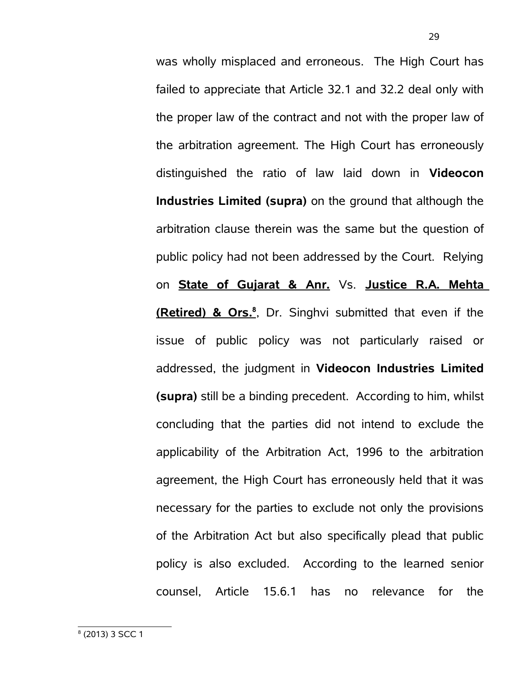<span id="page-28-0"></span>was wholly misplaced and erroneous. The High Court has failed to appreciate that Article 32.1 and 32.2 deal only with the proper law of the contract and not with the proper law of the arbitration agreement. The High Court has erroneously distinguished the ratio of law laid down in **Videocon Industries Limited (supra)** on the ground that although the arbitration clause therein was the same but the question of public policy had not been addressed by the Court. Relying on **State of Gujarat & Anr.** Vs. **Justice R.A. Mehta (Retired) & Ors.<sup>8</sup>** , Dr. Singhvi submitted that even if the issue of public policy was not particularly raised or addressed, the judgment in **Videocon Industries Limited (supra)** still be a binding precedent. According to him, whilst concluding that the parties did not intend to exclude the applicability of the Arbitration Act, 1996 to the arbitration agreement, the High Court has erroneously held that it was necessary for the parties to exclude not only the provisions of the Arbitration Act but also specifically plead that public policy is also excluded. According to the learned senior counsel, Article 15.6.1 has no relevance for the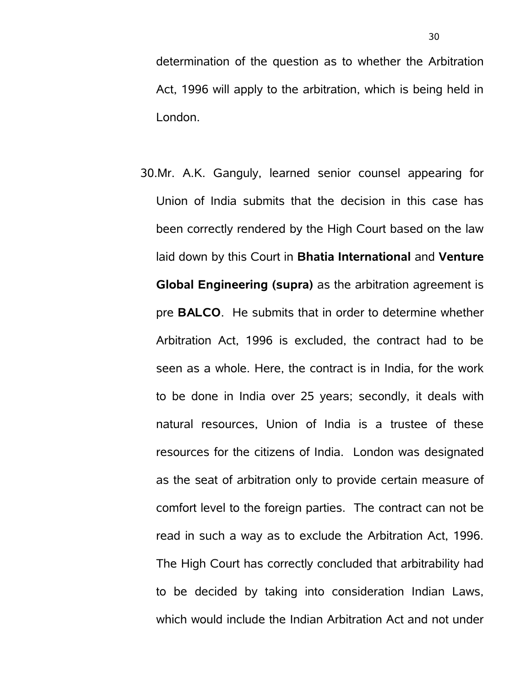determination of the question as to whether the Arbitration Act, 1996 will apply to the arbitration, which is being held in London.

30.Mr. A.K. Ganguly, learned senior counsel appearing for Union of India submits that the decision in this case has been correctly rendered by the High Court based on the law laid down by this Court in **Bhatia International** and **Venture Global Engineering (supra)** as the arbitration agreement is pre **BALCO**. He submits that in order to determine whether Arbitration Act, 1996 is excluded, the contract had to be seen as a whole. Here, the contract is in India, for the work to be done in India over 25 years; secondly, it deals with natural resources, Union of India is a trustee of these resources for the citizens of India. London was designated as the seat of arbitration only to provide certain measure of comfort level to the foreign parties. The contract can not be read in such a way as to exclude the Arbitration Act, 1996. The High Court has correctly concluded that arbitrability had to be decided by taking into consideration Indian Laws, which would include the Indian Arbitration Act and not under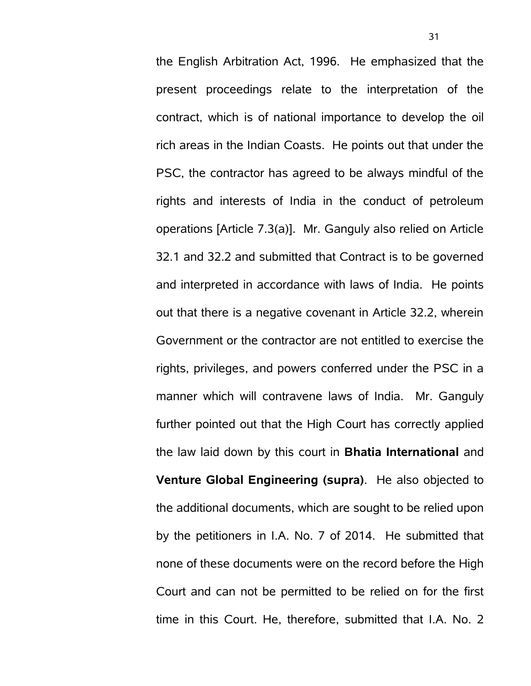the English Arbitration Act, 1996. He emphasized that the present proceedings relate to the interpretation of the contract, which is of national importance to develop the oil rich areas in the Indian Coasts. He points out that under the PSC, the contractor has agreed to be always mindful of the rights and interests of India in the conduct of petroleum operations [Article 7.3(a)]. Mr. Ganguly also relied on Article 32.1 and 32.2 and submitted that Contract is to be governed and interpreted in accordance with laws of India. He points out that there is a negative covenant in Article 32.2, wherein Government or the contractor are not entitled to exercise the rights, privileges, and powers conferred under the PSC in a manner which will contravene laws of India. Mr. Ganguly further pointed out that the High Court has correctly applied the law laid down by this court in **Bhatia International** and **Venture Global Engineering (supra)**. He also objected to the additional documents, which are sought to be relied upon by the petitioners in I.A. No. 7 of 2014. He submitted that none of these documents were on the record before the High Court and can not be permitted to be relied on for the first time in this Court. He, therefore, submitted that I.A. No. 2

31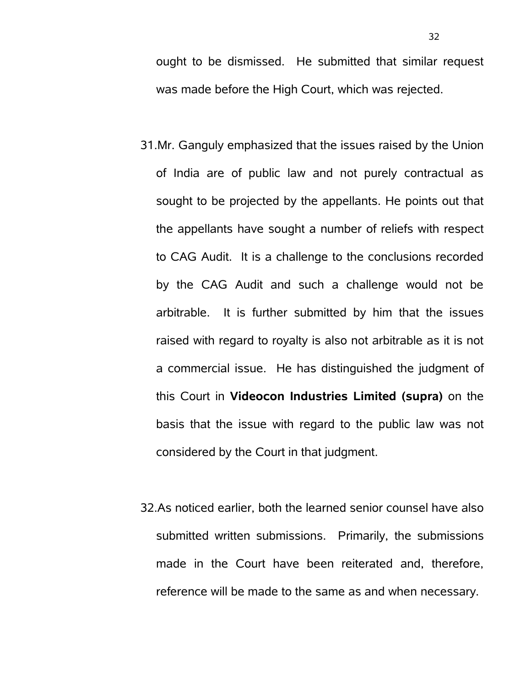ought to be dismissed. He submitted that similar request was made before the High Court, which was rejected.

- 31.Mr. Ganguly emphasized that the issues raised by the Union of India are of public law and not purely contractual as sought to be projected by the appellants. He points out that the appellants have sought a number of reliefs with respect to CAG Audit. It is a challenge to the conclusions recorded by the CAG Audit and such a challenge would not be arbitrable. It is further submitted by him that the issues raised with regard to royalty is also not arbitrable as it is not a commercial issue. He has distinguished the judgment of this Court in **Videocon Industries Limited (supra)** on the basis that the issue with regard to the public law was not considered by the Court in that judgment.
- 32.As noticed earlier, both the learned senior counsel have also submitted written submissions. Primarily, the submissions made in the Court have been reiterated and, therefore, reference will be made to the same as and when necessary.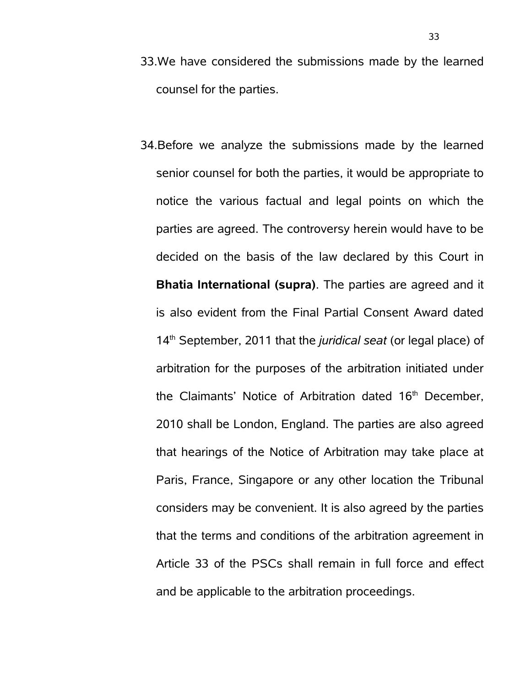- 33.We have considered the submissions made by the learned counsel for the parties.
- 34.Before we analyze the submissions made by the learned senior counsel for both the parties, it would be appropriate to notice the various factual and legal points on which the parties are agreed. The controversy herein would have to be decided on the basis of the law declared by this Court in **Bhatia International (supra)**. The parties are agreed and it is also evident from the Final Partial Consent Award dated 14th September, 2011 that the *juridical seat* (or legal place) of arbitration for the purposes of the arbitration initiated under the Claimants' Notice of Arbitration dated 16<sup>th</sup> December, 2010 shall be London, England. The parties are also agreed that hearings of the Notice of Arbitration may take place at Paris, France, Singapore or any other location the Tribunal considers may be convenient. It is also agreed by the parties that the terms and conditions of the arbitration agreement in Article 33 of the PSCs shall remain in full force and effect and be applicable to the arbitration proceedings.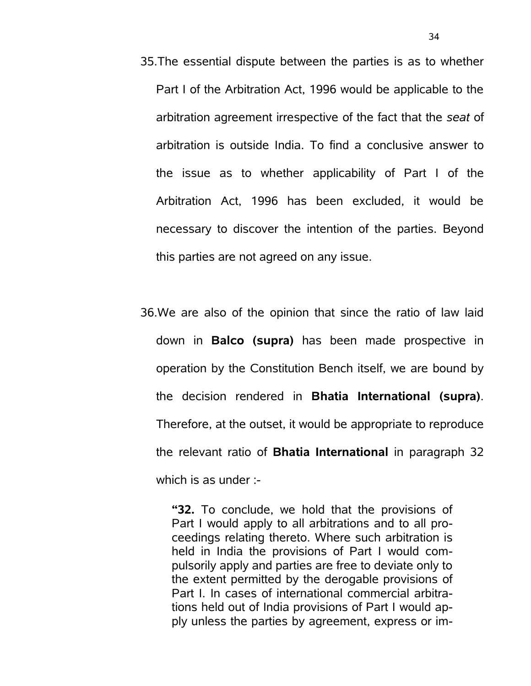- 35.The essential dispute between the parties is as to whether Part I of the Arbitration Act, 1996 would be applicable to the arbitration agreement irrespective of the fact that the *seat* of arbitration is outside India. To find a conclusive answer to the issue as to whether applicability of Part I of the Arbitration Act, 1996 has been excluded, it would be necessary to discover the intention of the parties. Beyond this parties are not agreed on any issue.
- 36.We are also of the opinion that since the ratio of law laid down in **Balco (supra)** has been made prospective in operation by the Constitution Bench itself, we are bound by the decision rendered in **Bhatia International (supra)**. Therefore, at the outset, it would be appropriate to reproduce the relevant ratio of **Bhatia International** in paragraph 32 which is as under :-

**"32.** To conclude, we hold that the provisions of Part I would apply to all arbitrations and to all proceedings relating thereto. Where such arbitration is held in India the provisions of Part I would compulsorily apply and parties are free to deviate only to the extent permitted by the derogable provisions of Part I. In cases of international commercial arbitrations held out of India provisions of Part I would apply unless the parties by agreement, express or im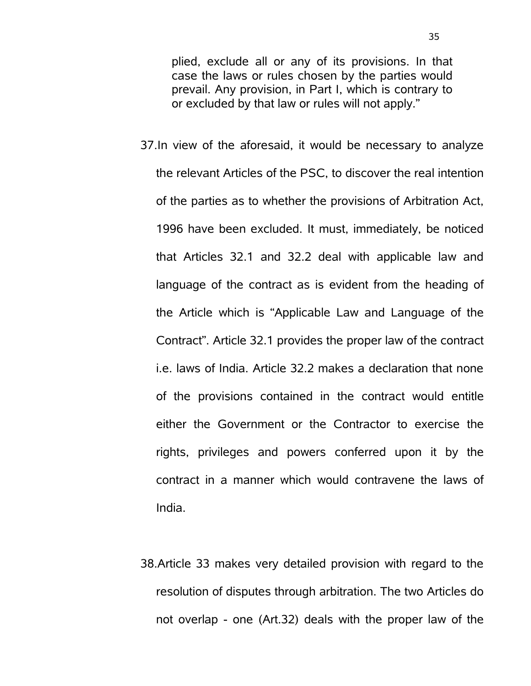plied, exclude all or any of its provisions. In that case the laws or rules chosen by the parties would prevail. Any provision, in Part I, which is contrary to or excluded by that law or rules will not apply."

- 37.In view of the aforesaid, it would be necessary to analyze the relevant Articles of the PSC, to discover the real intention of the parties as to whether the provisions of Arbitration Act, 1996 have been excluded. It must, immediately, be noticed that Articles 32.1 and 32.2 deal with applicable law and language of the contract as is evident from the heading of the Article which is "Applicable Law and Language of the Contract". Article 32.1 provides the proper law of the contract i.e. laws of India. Article 32.2 makes a declaration that none of the provisions contained in the contract would entitle either the Government or the Contractor to exercise the rights, privileges and powers conferred upon it by the contract in a manner which would contravene the laws of India.
- 38.Article 33 makes very detailed provision with regard to the resolution of disputes through arbitration. The two Articles do not overlap - one (Art.32) deals with the proper law of the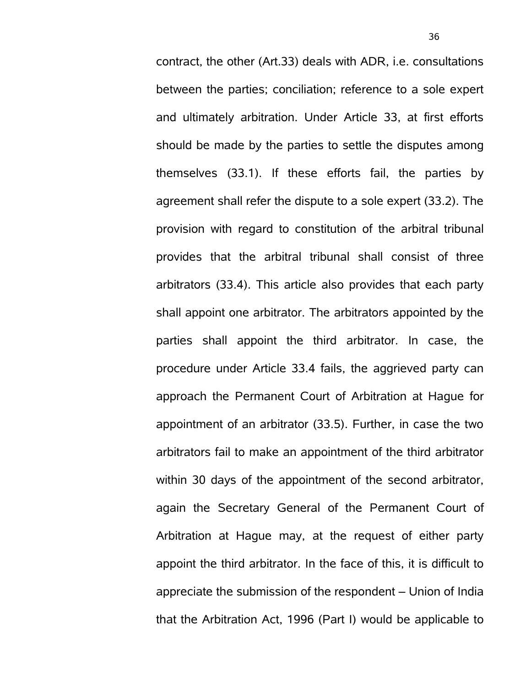contract, the other (Art.33) deals with ADR, i.e. consultations between the parties; conciliation; reference to a sole expert and ultimately arbitration. Under Article 33, at first efforts should be made by the parties to settle the disputes among themselves (33.1). If these efforts fail, the parties by agreement shall refer the dispute to a sole expert (33.2). The provision with regard to constitution of the arbitral tribunal provides that the arbitral tribunal shall consist of three arbitrators (33.4). This article also provides that each party shall appoint one arbitrator. The arbitrators appointed by the parties shall appoint the third arbitrator. In case, the procedure under Article 33.4 fails, the aggrieved party can approach the Permanent Court of Arbitration at Hague for appointment of an arbitrator (33.5). Further, in case the two arbitrators fail to make an appointment of the third arbitrator within 30 days of the appointment of the second arbitrator, again the Secretary General of the Permanent Court of Arbitration at Hague may, at the request of either party appoint the third arbitrator. In the face of this, it is difficult to appreciate the submission of the respondent – Union of India that the Arbitration Act, 1996 (Part I) would be applicable to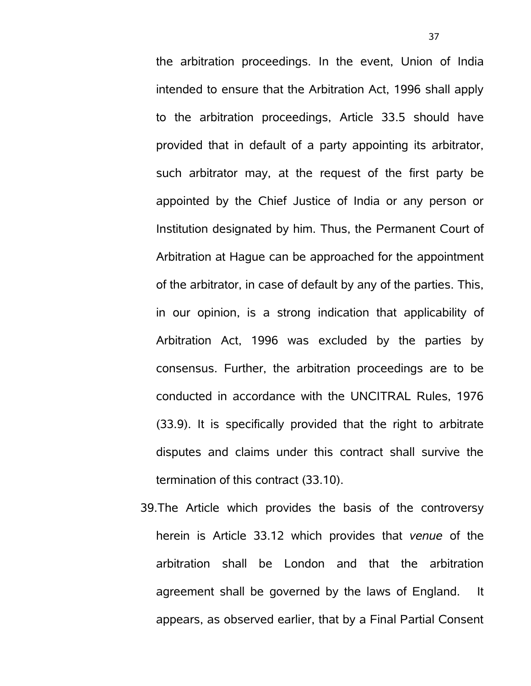the arbitration proceedings. In the event, Union of India intended to ensure that the Arbitration Act, 1996 shall apply to the arbitration proceedings, Article 33.5 should have provided that in default of a party appointing its arbitrator, such arbitrator may, at the request of the first party be appointed by the Chief Justice of India or any person or Institution designated by him. Thus, the Permanent Court of Arbitration at Hague can be approached for the appointment of the arbitrator, in case of default by any of the parties. This, in our opinion, is a strong indication that applicability of Arbitration Act, 1996 was excluded by the parties by consensus. Further, the arbitration proceedings are to be conducted in accordance with the UNCITRAL Rules, 1976 (33.9). It is specifically provided that the right to arbitrate disputes and claims under this contract shall survive the termination of this contract (33.10).

39.The Article which provides the basis of the controversy herein is Article 33.12 which provides that *venue* of the arbitration shall be London and that the arbitration agreement shall be governed by the laws of England. It appears, as observed earlier, that by a Final Partial Consent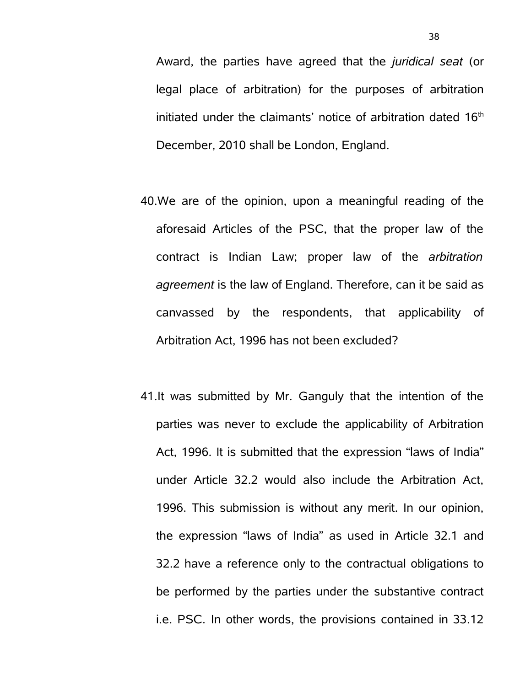Award, the parties have agreed that the *juridical seat* (or legal place of arbitration) for the purposes of arbitration initiated under the claimants' notice of arbitration dated  $16<sup>th</sup>$ December, 2010 shall be London, England.

- 40.We are of the opinion, upon a meaningful reading of the aforesaid Articles of the PSC, that the proper law of the contract is Indian Law; proper law of the *arbitration agreement* is the law of England. Therefore, can it be said as canvassed by the respondents, that applicability of Arbitration Act, 1996 has not been excluded?
- 41.It was submitted by Mr. Ganguly that the intention of the parties was never to exclude the applicability of Arbitration Act, 1996. It is submitted that the expression "laws of India" under Article 32.2 would also include the Arbitration Act, 1996. This submission is without any merit. In our opinion, the expression "laws of India" as used in Article 32.1 and 32.2 have a reference only to the contractual obligations to be performed by the parties under the substantive contract i.e. PSC. In other words, the provisions contained in 33.12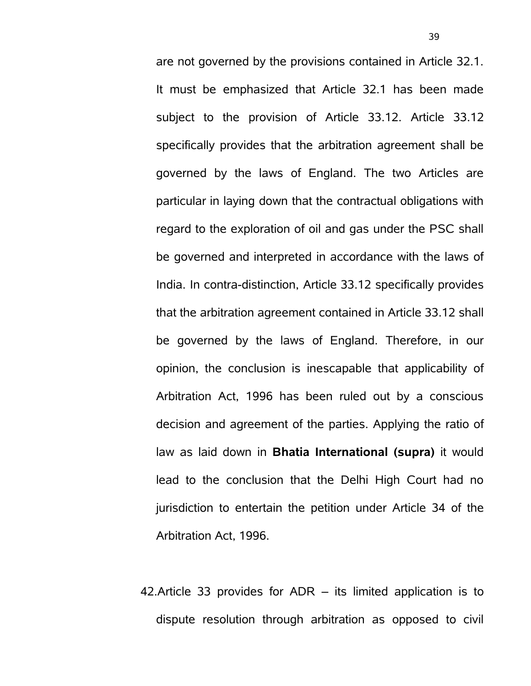are not governed by the provisions contained in Article 32.1. It must be emphasized that Article 32.1 has been made subject to the provision of Article 33.12. Article 33.12 specifically provides that the arbitration agreement shall be governed by the laws of England. The two Articles are particular in laying down that the contractual obligations with regard to the exploration of oil and gas under the PSC shall be governed and interpreted in accordance with the laws of India. In contra-distinction, Article 33.12 specifically provides that the arbitration agreement contained in Article 33.12 shall be governed by the laws of England. Therefore, in our opinion, the conclusion is inescapable that applicability of Arbitration Act, 1996 has been ruled out by a conscious decision and agreement of the parties. Applying the ratio of law as laid down in **Bhatia International (supra)** it would lead to the conclusion that the Delhi High Court had no jurisdiction to entertain the petition under Article 34 of the Arbitration Act, 1996.

42.Article 33 provides for ADR – its limited application is to dispute resolution through arbitration as opposed to civil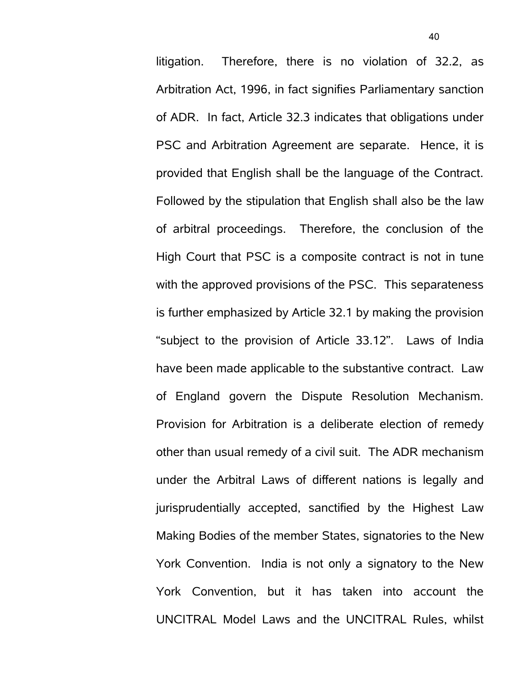litigation. Therefore, there is no violation of 32.2, as Arbitration Act, 1996, in fact signifies Parliamentary sanction of ADR. In fact, Article 32.3 indicates that obligations under PSC and Arbitration Agreement are separate. Hence, it is provided that English shall be the language of the Contract. Followed by the stipulation that English shall also be the law of arbitral proceedings. Therefore, the conclusion of the High Court that PSC is a composite contract is not in tune with the approved provisions of the PSC. This separateness is further emphasized by Article 32.1 by making the provision "subject to the provision of Article 33.12". Laws of India have been made applicable to the substantive contract. Law of England govern the Dispute Resolution Mechanism. Provision for Arbitration is a deliberate election of remedy other than usual remedy of a civil suit. The ADR mechanism under the Arbitral Laws of different nations is legally and jurisprudentially accepted, sanctified by the Highest Law Making Bodies of the member States, signatories to the New York Convention. India is not only a signatory to the New York Convention, but it has taken into account the UNCITRAL Model Laws and the UNCITRAL Rules, whilst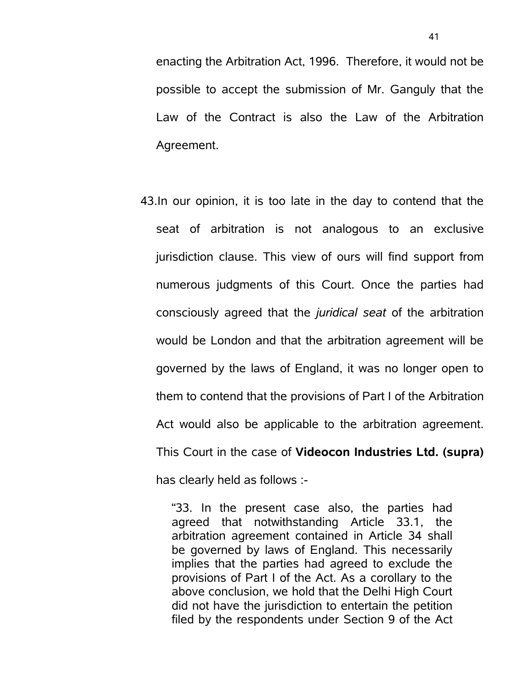enacting the Arbitration Act, 1996. Therefore, it would not be possible to accept the submission of Mr. Ganguly that the Law of the Contract is also the Law of the Arbitration Agreement.

43.In our opinion, it is too late in the day to contend that the seat of arbitration is not analogous to an exclusive jurisdiction clause. This view of ours will find support from numerous judgments of this Court. Once the parties had consciously agreed that the *juridical seat* of the arbitration would be London and that the arbitration agreement will be governed by the laws of England, it was no longer open to them to contend that the provisions of Part I of the Arbitration Act would also be applicable to the arbitration agreement. This Court in the case of **Videocon Industries Ltd. (supra)** has clearly held as follows :-

"33. In the present case also, the parties had agreed that notwithstanding Article 33.1, the arbitration agreement contained in Article 34 shall be governed by laws of England. This necessarily implies that the parties had agreed to exclude the provisions of Part I of the Act. As a corollary to the above conclusion, we hold that the Delhi High Court did not have the jurisdiction to entertain the petition filed by the respondents under Section 9 of the Act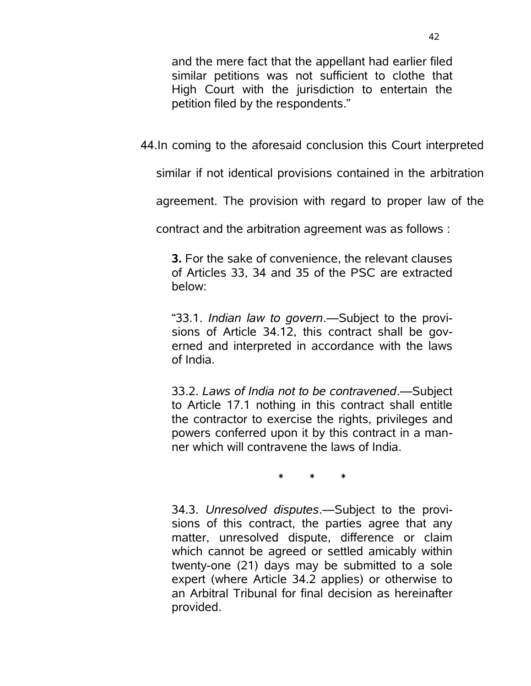and the mere fact that the appellant had earlier filed similar petitions was not sufficient to clothe that High Court with the jurisdiction to entertain the petition filed by the respondents."

44.In coming to the aforesaid conclusion this Court interpreted

similar if not identical provisions contained in the arbitration

agreement. The provision with regard to proper law of the

contract and the arbitration agreement was as follows :

**3.** For the sake of convenience, the relevant clauses of Articles 33, 34 and 35 of the PSC are extracted below:

"33.1. *Indian law to govern*.—Subject to the provisions of Article 34.12, this contract shall be governed and interpreted in accordance with the laws of India.

33.2. *Laws of India not to be contravened*.—Subject to Article 17.1 nothing in this contract shall entitle the contractor to exercise the rights, privileges and powers conferred upon it by this contract in a manner which will contravene the laws of India.

\* \* \*

34.3. *Unresolved disputes*.—Subject to the provisions of this contract, the parties agree that any matter, unresolved dispute, difference or claim which cannot be agreed or settled amicably within twenty-one (21) days may be submitted to a sole expert (where Article 34.2 applies) or otherwise to an Arbitral Tribunal for final decision as hereinafter provided.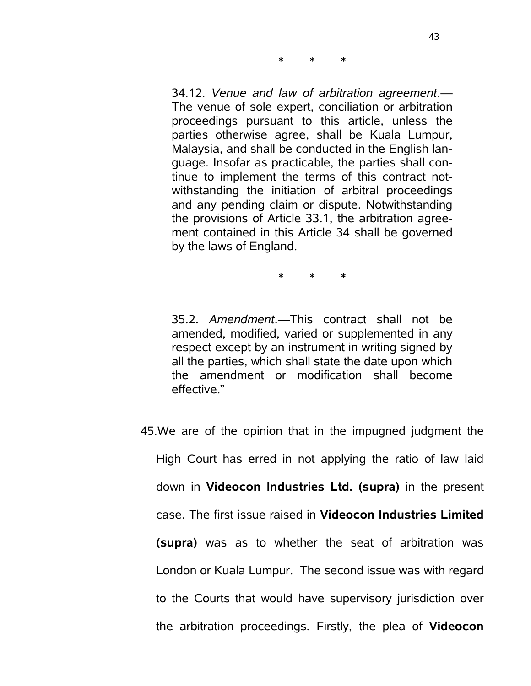34.12. *Venue and law of arbitration agreement*.— The venue of sole expert, conciliation or arbitration proceedings pursuant to this article, unless the parties otherwise agree, shall be Kuala Lumpur, Malaysia, and shall be conducted in the English language. Insofar as practicable, the parties shall continue to implement the terms of this contract notwithstanding the initiation of arbitral proceedings and any pending claim or dispute. Notwithstanding the provisions of Article 33.1, the arbitration agreement contained in this Article 34 shall be governed by the laws of England.

\* \* \*

\* \* \*

35.2. *Amendment*.—This contract shall not be amended, modified, varied or supplemented in any respect except by an instrument in writing signed by all the parties, which shall state the date upon which the amendment or modification shall become effective."

45.We are of the opinion that in the impugned judgment the High Court has erred in not applying the ratio of law laid down in **Videocon Industries Ltd. (supra)** in the present case. The first issue raised in **Videocon Industries Limited (supra)** was as to whether the seat of arbitration was London or Kuala Lumpur. The second issue was with regard to the Courts that would have supervisory jurisdiction over the arbitration proceedings. Firstly, the plea of **Videocon**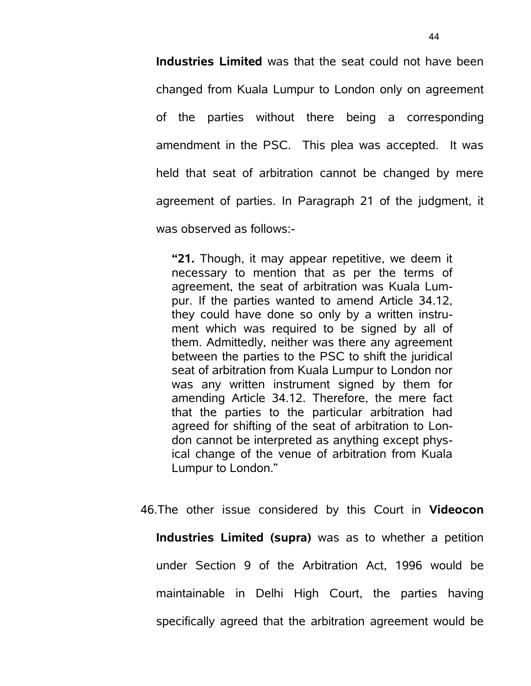**Industries Limited** was that the seat could not have been changed from Kuala Lumpur to London only on agreement of the parties without there being a corresponding amendment in the PSC. This plea was accepted. It was held that seat of arbitration cannot be changed by mere agreement of parties. In Paragraph 21 of the judgment, it was observed as follows:-

**"21.** Though, it may appear repetitive, we deem it necessary to mention that as per the terms of agreement, the seat of arbitration was Kuala Lumpur. If the parties wanted to amend Article 34.12, they could have done so only by a written instrument which was required to be signed by all of them. Admittedly, neither was there any agreement between the parties to the PSC to shift the juridical seat of arbitration from Kuala Lumpur to London nor was any written instrument signed by them for amending Article 34.12. Therefore, the mere fact that the parties to the particular arbitration had agreed for shifting of the seat of arbitration to London cannot be interpreted as anything except physical change of the venue of arbitration from Kuala Lumpur to London."

46.The other issue considered by this Court in **Videocon Industries Limited (supra)** was as to whether a petition under Section 9 of the Arbitration Act, 1996 would be maintainable in Delhi High Court, the parties having specifically agreed that the arbitration agreement would be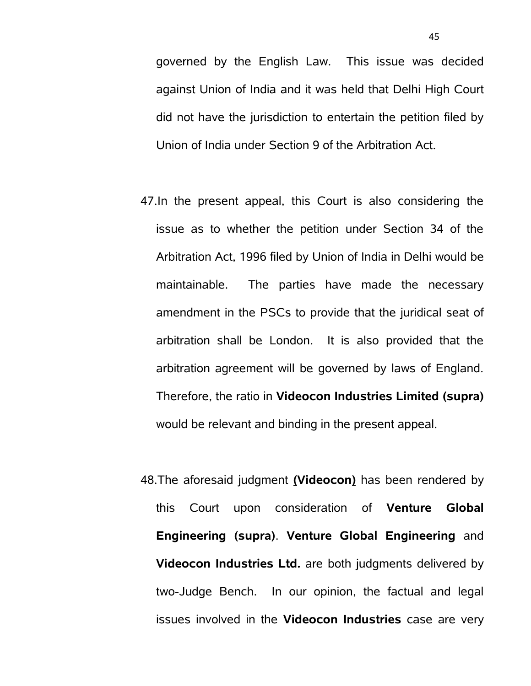governed by the English Law. This issue was decided against Union of India and it was held that Delhi High Court did not have the jurisdiction to entertain the petition filed by Union of India under Section 9 of the Arbitration Act.

- 47.In the present appeal, this Court is also considering the issue as to whether the petition under Section 34 of the Arbitration Act, 1996 filed by Union of India in Delhi would be maintainable. The parties have made the necessary amendment in the PSCs to provide that the juridical seat of arbitration shall be London. It is also provided that the arbitration agreement will be governed by laws of England. Therefore, the ratio in **Videocon Industries Limited (supra)** would be relevant and binding in the present appeal.
- 48.The aforesaid judgment **(Videocon)** has been rendered by this Court upon consideration of **Venture Global Engineering (supra)**. **Venture Global Engineering** and **Videocon Industries Ltd.** are both judgments delivered by two-Judge Bench. In our opinion, the factual and legal issues involved in the **Videocon Industries** case are very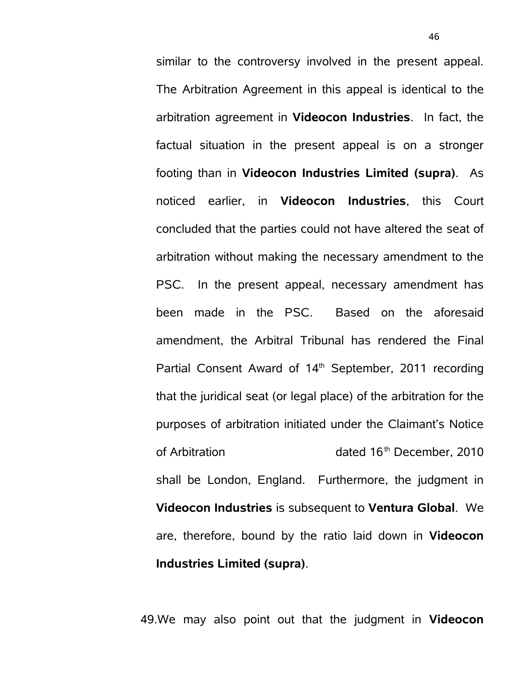similar to the controversy involved in the present appeal. The Arbitration Agreement in this appeal is identical to the arbitration agreement in **Videocon Industries**. In fact, the factual situation in the present appeal is on a stronger footing than in **Videocon Industries Limited (supra)**. As noticed earlier, in **Videocon Industries**, this Court concluded that the parties could not have altered the seat of arbitration without making the necessary amendment to the PSC. In the present appeal, necessary amendment has been made in the PSC. Based on the aforesaid amendment, the Arbitral Tribunal has rendered the Final Partial Consent Award of 14<sup>th</sup> September, 2011 recording that the juridical seat (or legal place) of the arbitration for the purposes of arbitration initiated under the Claimant's Notice of Arbitration dated 16<sup>th</sup> December, 2010 shall be London, England. Furthermore, the judgment in **Videocon Industries** is subsequent to **Ventura Global**. We are, therefore, bound by the ratio laid down in **Videocon Industries Limited (supra)**.

49.We may also point out that the judgment in **Videocon**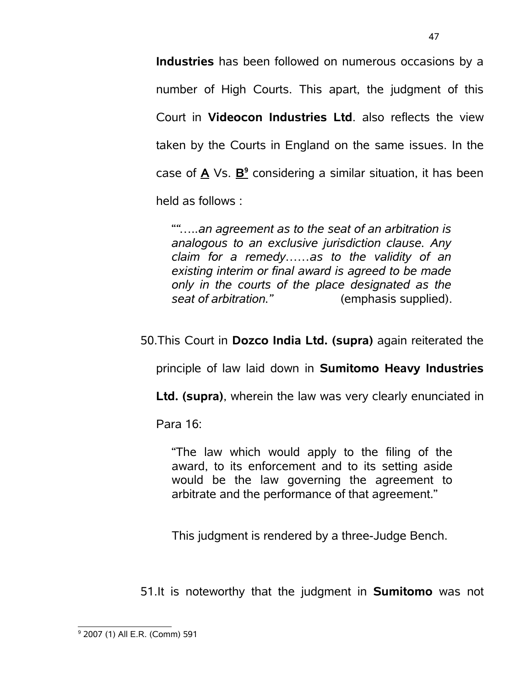**Industries** has been followed on numerous occasions by a number of High Courts. This apart, the judgment of this Court in **Videocon Industries Ltd**. also reflects the view taken by the Courts in England on the same issues. In the case of **A** Vs. **B 9** considering a similar situation, it has been held as follows :

"*"…..an agreement as to the seat of an arbitration is analogous to an exclusive jurisdiction clause. Any claim for a remedy……as to the validity of an existing interim or final award is agreed to be made only in the courts of the place designated as the seat of arbitration."* (emphasis supplied).

50.This Court in **Dozco India Ltd. (supra)** again reiterated the

principle of law laid down in **Sumitomo Heavy Industries**

**Ltd. (supra)**, wherein the law was very clearly enunciated in

Para 16:

"The law which would apply to the filing of the award, to its enforcement and to its setting aside would be the law governing the agreement to arbitrate and the performance of that agreement."

This judgment is rendered by a three-Judge Bench.

51.It is noteworthy that the judgment in **Sumitomo** was not

<span id="page-46-0"></span><sup>9</sup> 2007 (1) All E.R. (Comm) 591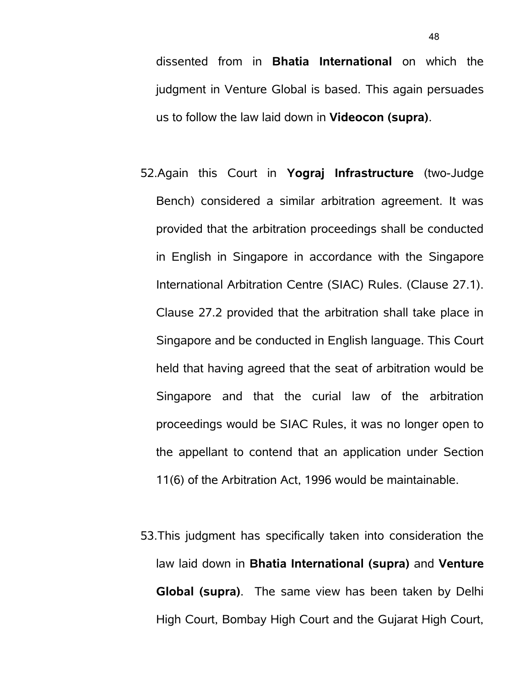dissented from in **Bhatia International** on which the judgment in Venture Global is based. This again persuades us to follow the law laid down in **Videocon (supra)**.

- 52.Again this Court in **Yograj Infrastructure** (two-Judge Bench) considered a similar arbitration agreement. It was provided that the arbitration proceedings shall be conducted in English in Singapore in accordance with the Singapore International Arbitration Centre (SIAC) Rules. (Clause 27.1). Clause 27.2 provided that the arbitration shall take place in Singapore and be conducted in English language. This Court held that having agreed that the seat of arbitration would be Singapore and that the curial law of the arbitration proceedings would be SIAC Rules, it was no longer open to the appellant to contend that an application under Section 11(6) of the Arbitration Act, 1996 would be maintainable.
- 53.This judgment has specifically taken into consideration the law laid down in **Bhatia International (supra)** and **Venture Global (supra)**. The same view has been taken by Delhi High Court, Bombay High Court and the Gujarat High Court,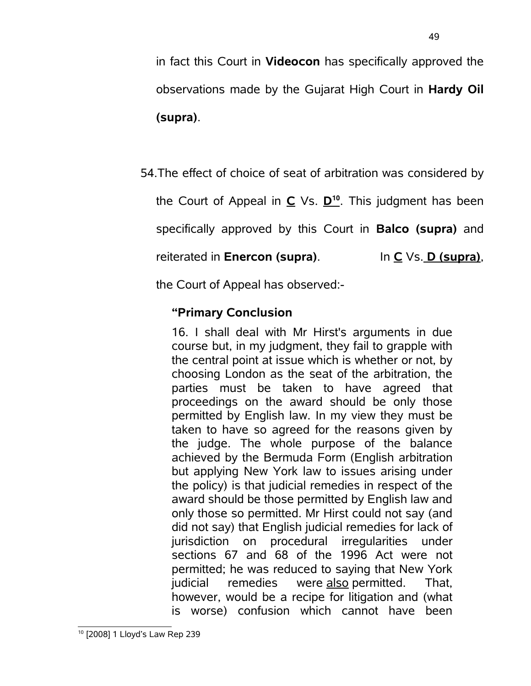specifically approved by this Court in **Balco (supra)** and

the Court of Appeal in **C** Vs. **D [10](#page-48-0)** . This judgment has been

54.The effect of choice of seat of arbitration was considered by

in fact this Court in **Videocon** has specifically approved the

observations made by the Gujarat High Court in **Hardy Oil**

reiterated in **Enercon (supra)**. In **C** Vs. **D (supra)**,

the Court of Appeal has observed:-

## **"Primary Conclusion**

**(supra)**.

<span id="page-48-0"></span>16. I shall deal with Mr Hirst's arguments in due course but, in my judgment, they fail to grapple with the central point at issue which is whether or not, by choosing London as the seat of the arbitration, the parties must be taken to have agreed that proceedings on the award should be only those permitted by English law. In my view they must be taken to have so agreed for the reasons given by the judge. The whole purpose of the balance achieved by the Bermuda Form (English arbitration but applying New York law to issues arising under the policy) is that judicial remedies in respect of the award should be those permitted by English law and only those so permitted. Mr Hirst could not say (and did not say) that English judicial remedies for lack of jurisdiction on procedural irregularities under sections 67 and 68 of the 1996 Act were not permitted; he was reduced to saying that New York judicial remedies were also permitted. That, however, would be a recipe for litigation and (what is worse) confusion which cannot have been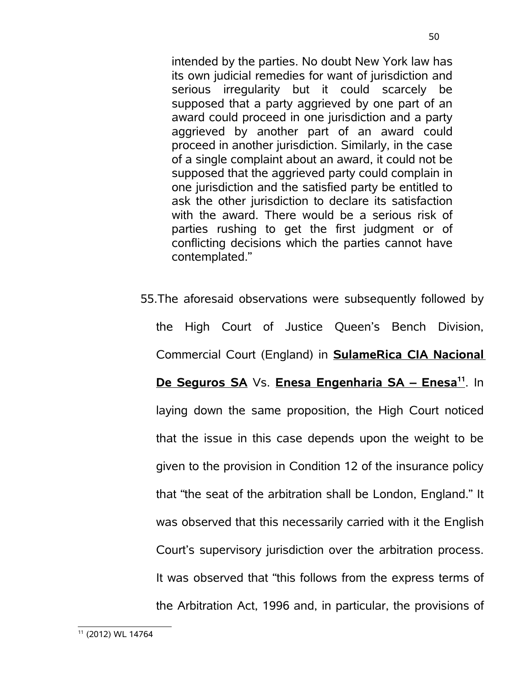intended by the parties. No doubt New York law has its own judicial remedies for want of jurisdiction and serious irregularity but it could scarcely be supposed that a party aggrieved by one part of an award could proceed in one jurisdiction and a party aggrieved by another part of an award could proceed in another jurisdiction. Similarly, in the case of a single complaint about an award, it could not be supposed that the aggrieved party could complain in one jurisdiction and the satisfied party be entitled to ask the other jurisdiction to declare its satisfaction with the award. There would be a serious risk of parties rushing to get the first judgment or of conflicting decisions which the parties cannot have contemplated."

<span id="page-49-0"></span>55.The aforesaid observations were subsequently followed by the High Court of Justice Queen's Bench Division, Commercial Court (England) in **SulameRica CIA Nacional De Seguros SA** Vs. **Enesa Engenharia SA – Enesa[11](#page-49-0)** . In laying down the same proposition, the High Court noticed that the issue in this case depends upon the weight to be given to the provision in Condition 12 of the insurance policy that "the seat of the arbitration shall be London, England." It was observed that this necessarily carried with it the English Court's supervisory jurisdiction over the arbitration process. It was observed that "this follows from the express terms of the Arbitration Act, 1996 and, in particular, the provisions of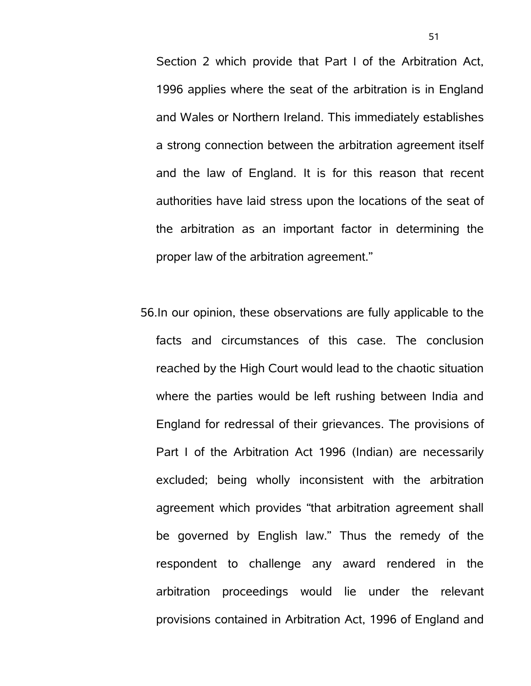Section 2 which provide that Part I of the Arbitration Act, 1996 applies where the seat of the arbitration is in England and Wales or Northern Ireland. This immediately establishes a strong connection between the arbitration agreement itself and the law of England. It is for this reason that recent authorities have laid stress upon the locations of the seat of the arbitration as an important factor in determining the proper law of the arbitration agreement."

56.In our opinion, these observations are fully applicable to the facts and circumstances of this case. The conclusion reached by the High Court would lead to the chaotic situation where the parties would be left rushing between India and England for redressal of their grievances. The provisions of Part I of the Arbitration Act 1996 (Indian) are necessarily excluded; being wholly inconsistent with the arbitration agreement which provides "that arbitration agreement shall be governed by English law." Thus the remedy of the respondent to challenge any award rendered in the arbitration proceedings would lie under the relevant provisions contained in Arbitration Act, 1996 of England and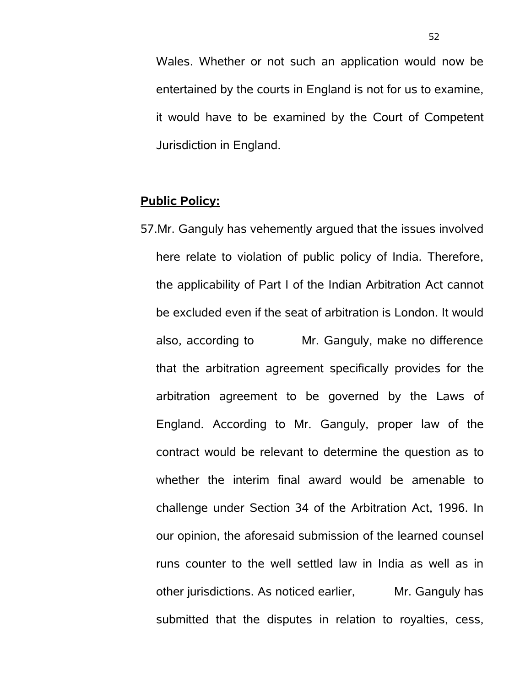Wales. Whether or not such an application would now be entertained by the courts in England is not for us to examine, it would have to be examined by the Court of Competent Jurisdiction in England.

## **Public Policy:**

57.Mr. Ganguly has vehemently argued that the issues involved here relate to violation of public policy of India. Therefore, the applicability of Part I of the Indian Arbitration Act cannot be excluded even if the seat of arbitration is London. It would also, according to Mr. Ganguly, make no difference that the arbitration agreement specifically provides for the arbitration agreement to be governed by the Laws of England. According to Mr. Ganguly, proper law of the contract would be relevant to determine the question as to whether the interim final award would be amenable to challenge under Section 34 of the Arbitration Act, 1996. In our opinion, the aforesaid submission of the learned counsel runs counter to the well settled law in India as well as in other jurisdictions. As noticed earlier, Mr. Ganguly has submitted that the disputes in relation to royalties, cess,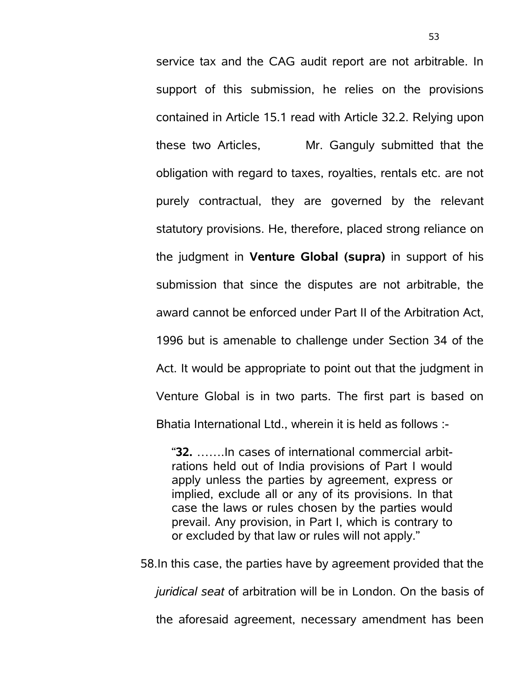service tax and the CAG audit report are not arbitrable. In support of this submission, he relies on the provisions contained in Article 15.1 read with Article 32.2. Relying upon these two Articles, Mr. Ganguly submitted that the obligation with regard to taxes, royalties, rentals etc. are not purely contractual, they are governed by the relevant statutory provisions. He, therefore, placed strong reliance on the judgment in **Venture Global (supra)** in support of his submission that since the disputes are not arbitrable, the award cannot be enforced under Part II of the Arbitration Act, 1996 but is amenable to challenge under Section 34 of the Act. It would be appropriate to point out that the judgment in Venture Global is in two parts. The first part is based on Bhatia International Ltd., wherein it is held as follows :-

"**32.** …….In cases of international commercial arbitrations held out of India provisions of Part I would apply unless the parties by agreement, express or implied, exclude all or any of its provisions. In that case the laws or rules chosen by the parties would prevail. Any provision, in Part I, which is contrary to or excluded by that law or rules will not apply."

58.In this case, the parties have by agreement provided that the

*juridical seat* of arbitration will be in London. On the basis of

the aforesaid agreement, necessary amendment has been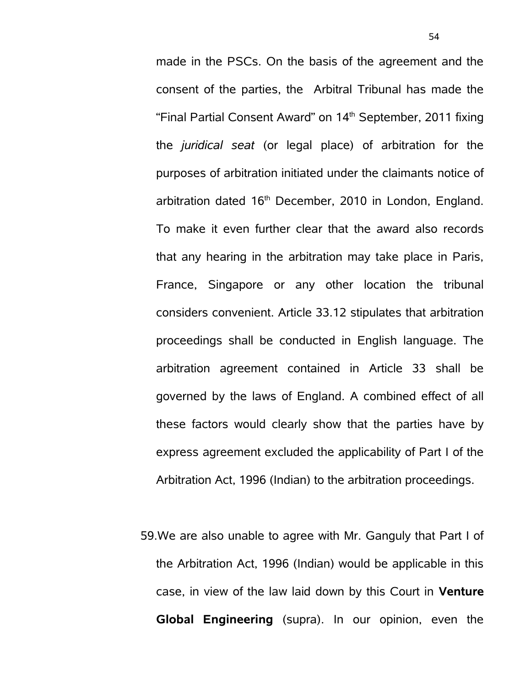made in the PSCs. On the basis of the agreement and the consent of the parties, the Arbitral Tribunal has made the "Final Partial Consent Award" on  $14<sup>th</sup>$  September, 2011 fixing the *juridical seat* (or legal place) of arbitration for the purposes of arbitration initiated under the claimants notice of arbitration dated 16<sup>th</sup> December, 2010 in London, England. To make it even further clear that the award also records that any hearing in the arbitration may take place in Paris, France, Singapore or any other location the tribunal considers convenient. Article 33.12 stipulates that arbitration proceedings shall be conducted in English language. The arbitration agreement contained in Article 33 shall be governed by the laws of England. A combined effect of all these factors would clearly show that the parties have by express agreement excluded the applicability of Part I of the Arbitration Act, 1996 (Indian) to the arbitration proceedings.

59.We are also unable to agree with Mr. Ganguly that Part I of the Arbitration Act, 1996 (Indian) would be applicable in this case, in view of the law laid down by this Court in **Venture Global Engineering** (supra). In our opinion, even the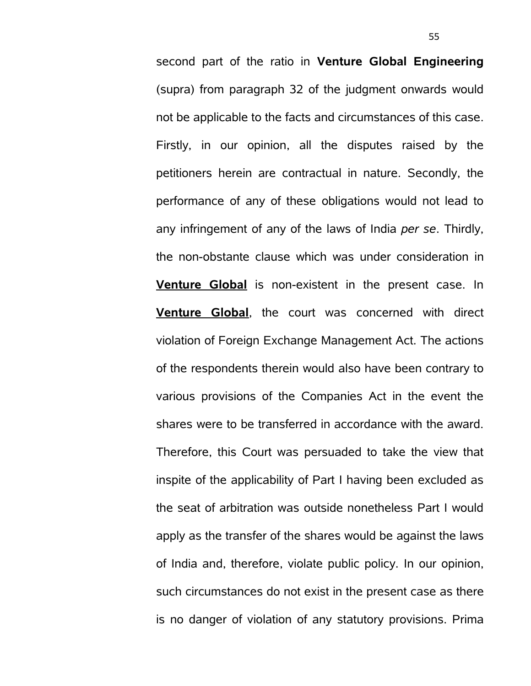second part of the ratio in **Venture Global Engineering** (supra) from paragraph 32 of the judgment onwards would not be applicable to the facts and circumstances of this case. Firstly, in our opinion, all the disputes raised by the petitioners herein are contractual in nature. Secondly, the performance of any of these obligations would not lead to any infringement of any of the laws of India *per se*. Thirdly, the non-obstante clause which was under consideration in **Venture Global** is non-existent in the present case. In **Venture Global**, the court was concerned with direct violation of Foreign Exchange Management Act. The actions of the respondents therein would also have been contrary to various provisions of the Companies Act in the event the shares were to be transferred in accordance with the award. Therefore, this Court was persuaded to take the view that inspite of the applicability of Part I having been excluded as the seat of arbitration was outside nonetheless Part I would apply as the transfer of the shares would be against the laws of India and, therefore, violate public policy. In our opinion, such circumstances do not exist in the present case as there is no danger of violation of any statutory provisions. Prima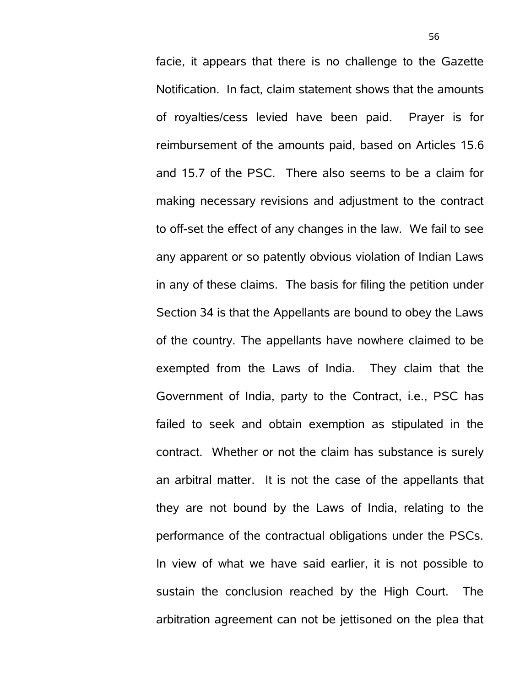facie, it appears that there is no challenge to the Gazette Notification. In fact, claim statement shows that the amounts of royalties/cess levied have been paid. Prayer is for reimbursement of the amounts paid, based on Articles 15.6 and 15.7 of the PSC. There also seems to be a claim for making necessary revisions and adjustment to the contract to off-set the effect of any changes in the law. We fail to see any apparent or so patently obvious violation of Indian Laws in any of these claims. The basis for filing the petition under Section 34 is that the Appellants are bound to obey the Laws of the country. The appellants have nowhere claimed to be exempted from the Laws of India. They claim that the Government of India, party to the Contract, i.e., PSC has failed to seek and obtain exemption as stipulated in the contract. Whether or not the claim has substance is surely an arbitral matter. It is not the case of the appellants that they are not bound by the Laws of India, relating to the performance of the contractual obligations under the PSCs. In view of what we have said earlier, it is not possible to sustain the conclusion reached by the High Court. The arbitration agreement can not be jettisoned on the plea that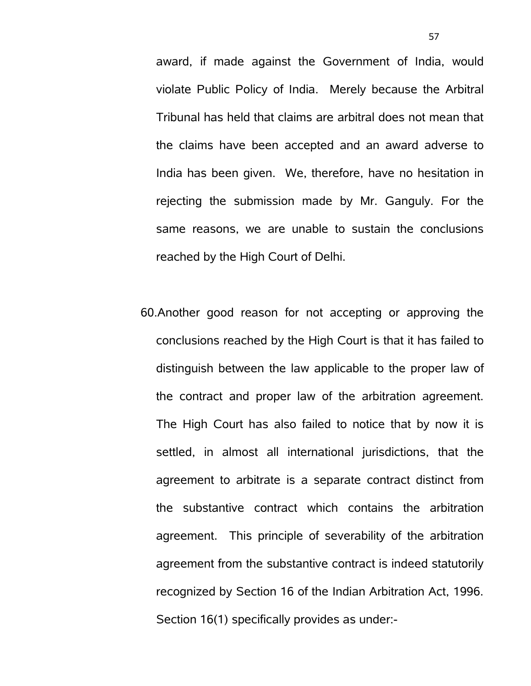award, if made against the Government of India, would violate Public Policy of India. Merely because the Arbitral Tribunal has held that claims are arbitral does not mean that the claims have been accepted and an award adverse to India has been given. We, therefore, have no hesitation in rejecting the submission made by Mr. Ganguly. For the same reasons, we are unable to sustain the conclusions reached by the High Court of Delhi.

60.Another good reason for not accepting or approving the conclusions reached by the High Court is that it has failed to distinguish between the law applicable to the proper law of the contract and proper law of the arbitration agreement. The High Court has also failed to notice that by now it is settled, in almost all international jurisdictions, that the agreement to arbitrate is a separate contract distinct from the substantive contract which contains the arbitration agreement. This principle of severability of the arbitration agreement from the substantive contract is indeed statutorily recognized by Section 16 of the Indian Arbitration Act, 1996. Section 16(1) specifically provides as under:-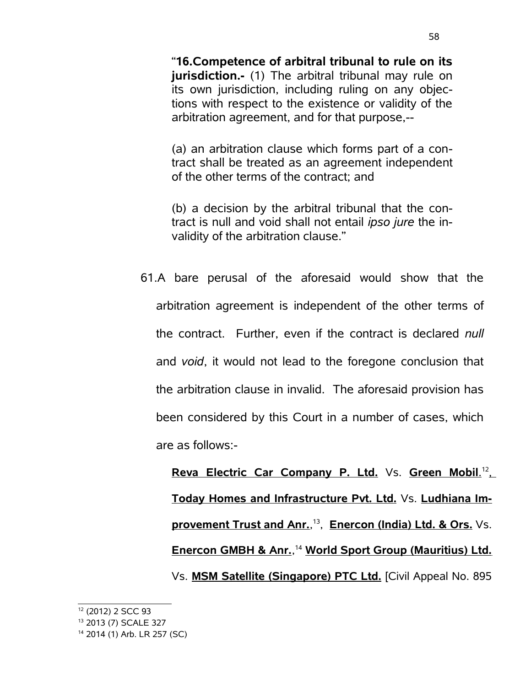"**16.Competence of arbitral tribunal to rule on its jurisdiction.-** (1) The arbitral tribunal may rule on its own jurisdiction, including ruling on any objections with respect to the existence or validity of the arbitration agreement, and for that purpose,--

(a) an arbitration clause which forms part of a contract shall be treated as an agreement independent of the other terms of the contract; and

(b) a decision by the arbitral tribunal that the contract is null and void shall not entail *ipso jure* the invalidity of the arbitration clause."

61.A bare perusal of the aforesaid would show that the arbitration agreement is independent of the other terms of the contract. Further, even if the contract is declared *null* and *void*, it would not lead to the foregone conclusion that the arbitration clause in invalid. The aforesaid provision has been considered by this Court in a number of cases, which are as follows:-

**Reva Electric Car Company P. Ltd.** Vs. **Green Mobil**. [12](#page-57-0) , Today Homes and Infrastructure Pvt. Ltd. Vs. Ludhiana Im**provement Trust and Anr.**, [13](#page-57-1) , **Enercon (India) Ltd. & Ors.** Vs. **Enercon GMBH & Anr.**, [14](#page-57-2)  **W orld Sport Group (Mauritius) Ltd.** Vs. **MSM Satellite (Singapore) PTC Ltd.** [Civil Appeal No. 895

<span id="page-57-1"></span><sup>13</sup> 2013 (7) SCALE 327

<span id="page-57-0"></span><sup>12</sup> (2012) 2 SCC 93

<span id="page-57-2"></span><sup>14</sup> 2014 (1) Arb. LR 257 (SC)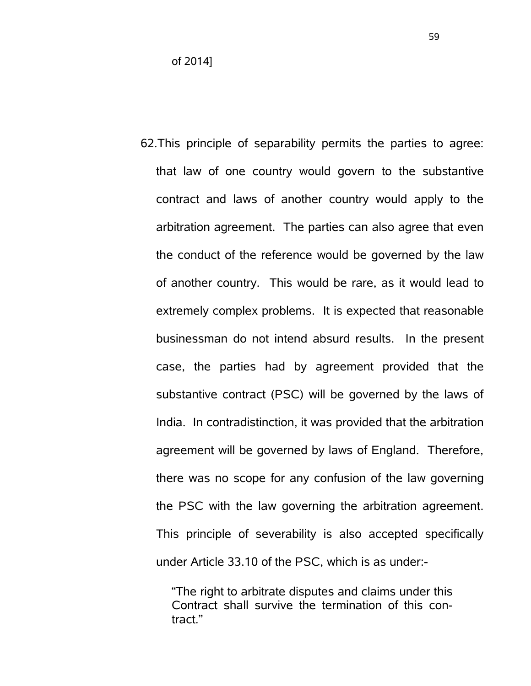of 2014]

62.This principle of separability permits the parties to agree: that law of one country would govern to the substantive contract and laws of another country would apply to the arbitration agreement. The parties can also agree that even the conduct of the reference would be governed by the law of another country. This would be rare, as it would lead to extremely complex problems. It is expected that reasonable businessman do not intend absurd results. In the present case, the parties had by agreement provided that the substantive contract (PSC) will be governed by the laws of India. In contradistinction, it was provided that the arbitration agreement will be governed by laws of England. Therefore, there was no scope for any confusion of the law governing the PSC with the law governing the arbitration agreement. This principle of severability is also accepted specifically under Article 33.10 of the PSC, which is as under:-

"The right to arbitrate disputes and claims under this Contract shall survive the termination of this contract."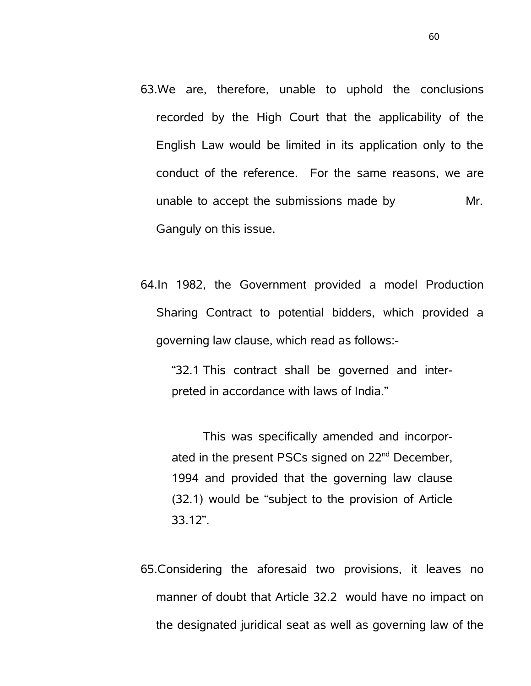- 63.We are, therefore, unable to uphold the conclusions recorded by the High Court that the applicability of the English Law would be limited in its application only to the conduct of the reference. For the same reasons, we are unable to accept the submissions made by Mr. Ganguly on this issue.
- 64.In 1982, the Government provided a model Production Sharing Contract to potential bidders, which provided a governing law clause, which read as follows:-

"32.1 This contract shall be governed and interpreted in accordance with laws of India."

This was specifically amended and incorporated in the present PSCs signed on 22<sup>nd</sup> December, 1994 and provided that the governing law clause (32.1) would be "subject to the provision of Article 33.12".

65.Considering the aforesaid two provisions, it leaves no manner of doubt that Article 32.2 would have no impact on the designated juridical seat as well as governing law of the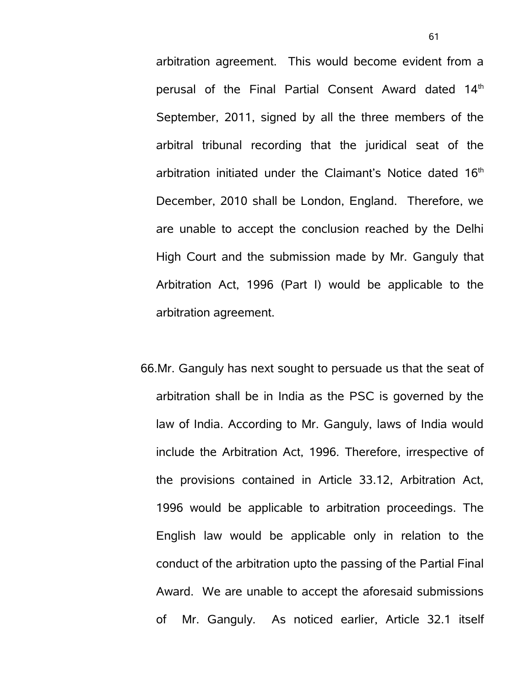arbitration agreement. This would become evident from a perusal of the Final Partial Consent Award dated 14th September, 2011, signed by all the three members of the arbitral tribunal recording that the juridical seat of the arbitration initiated under the Claimant's Notice dated  $16<sup>th</sup>$ December, 2010 shall be London, England. Therefore, we are unable to accept the conclusion reached by the Delhi High Court and the submission made by Mr. Ganguly that Arbitration Act, 1996 (Part I) would be applicable to the arbitration agreement.

66.Mr. Ganguly has next sought to persuade us that the seat of arbitration shall be in India as the PSC is governed by the law of India. According to Mr. Ganguly, laws of India would include the Arbitration Act, 1996. Therefore, irrespective of the provisions contained in Article 33.12, Arbitration Act, 1996 would be applicable to arbitration proceedings. The English law would be applicable only in relation to the conduct of the arbitration upto the passing of the Partial Final Award. We are unable to accept the aforesaid submissions of Mr. Ganguly. As noticed earlier, Article 32.1 itself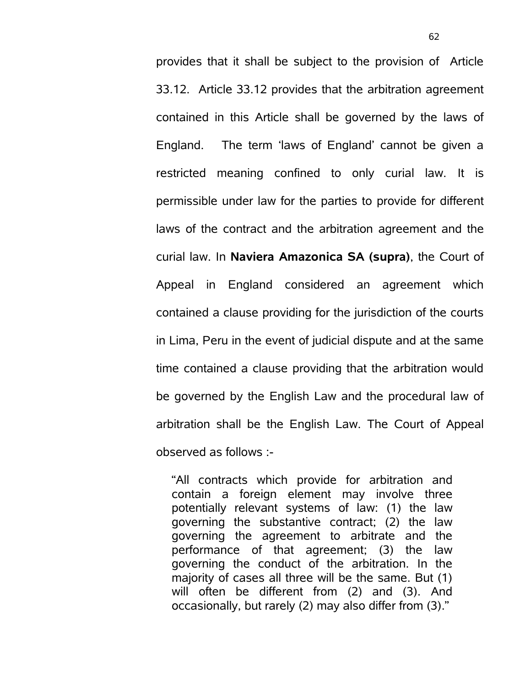provides that it shall be subject to the provision of Article 33.12. Article 33.12 provides that the arbitration agreement contained in this Article shall be governed by the laws of England. The term 'laws of England' cannot be given a restricted meaning confined to only curial law. It is permissible under law for the parties to provide for different laws of the contract and the arbitration agreement and the curial law. In **Naviera Amazonica SA (supra)**, the Court of Appeal in England considered an agreement which contained a clause providing for the jurisdiction of the courts in Lima, Peru in the event of judicial dispute and at the same time contained a clause providing that the arbitration would be governed by the English Law and the procedural law of arbitration shall be the English Law. The Court of Appeal observed as follows :-

"All contracts which provide for arbitration and contain a foreign element may involve three potentially relevant systems of law: (1) the law governing the substantive contract; (2) the law governing the agreement to arbitrate and the performance of that agreement; (3) the law governing the conduct of the arbitration. In the majority of cases all three will be the same. But (1) will often be different from (2) and (3). And occasionally, but rarely (2) may also differ from (3)."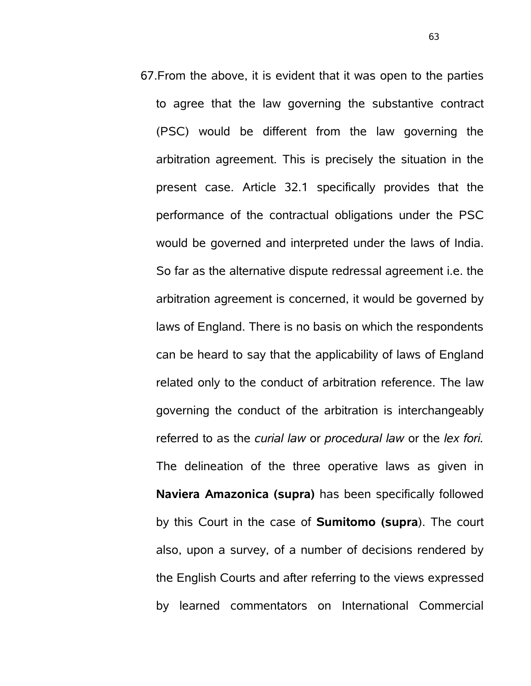67.From the above, it is evident that it was open to the parties to agree that the law governing the substantive contract (PSC) would be different from the law governing the arbitration agreement. This is precisely the situation in the present case. Article 32.1 specifically provides that the performance of the contractual obligations under the PSC would be governed and interpreted under the laws of India. So far as the alternative dispute redressal agreement i.e. the arbitration agreement is concerned, it would be governed by laws of England. There is no basis on which the respondents can be heard to say that the applicability of laws of England related only to the conduct of arbitration reference. The law governing the conduct of the arbitration is interchangeably referred to as the *curial law* or *procedural law* or the *lex fori.* The delineation of the three operative laws as given in **Naviera Amazonica (supra)** has been specifically followed by this Court in the case of **Sumitomo (supra**). The court also, upon a survey, of a number of decisions rendered by the English Courts and after referring to the views expressed by learned commentators on International Commercial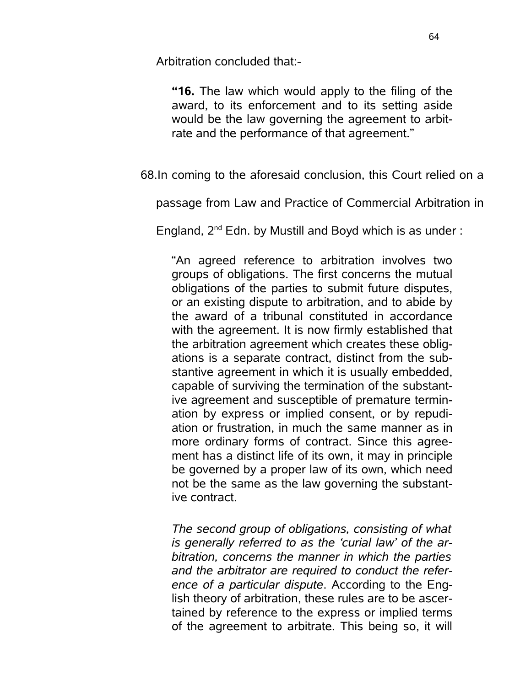Arbitration concluded that:-

**"16.** The law which would apply to the filing of the award, to its enforcement and to its setting aside would be the law governing the agreement to arbitrate and the performance of that agreement."

68.In coming to the aforesaid conclusion, this Court relied on a

passage from Law and Practice of Commercial Arbitration in

England,  $2^{nd}$  Edn. by Mustill and Boyd which is as under:

"An agreed reference to arbitration involves two groups of obligations. The first concerns the mutual obligations of the parties to submit future disputes, or an existing dispute to arbitration, and to abide by the award of a tribunal constituted in accordance with the agreement. It is now firmly established that the arbitration agreement which creates these obligations is a separate contract, distinct from the substantive agreement in which it is usually embedded, capable of surviving the termination of the substantive agreement and susceptible of premature termination by express or implied consent, or by repudiation or frustration, in much the same manner as in more ordinary forms of contract. Since this agreement has a distinct life of its own, it may in principle be governed by a proper law of its own, which need not be the same as the law governing the substantive contract.

*The second group of obligations, consisting of what is generally referred to as the 'curial law' of the arbitration, concerns the manner in which the parties and the arbitrator are required to conduct the reference of a particular dispute*. According to the English theory of arbitration, these rules are to be ascertained by reference to the express or implied terms of the agreement to arbitrate. This being so, it will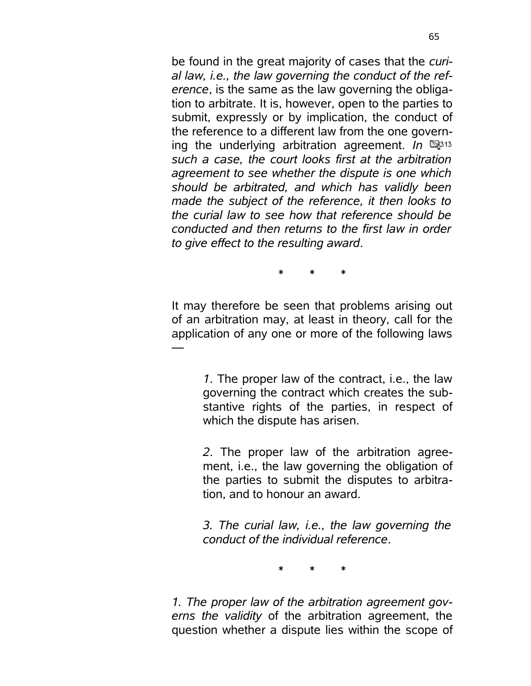be found in the great majority of cases that the *curial law, i.e., the law governing the conduct of the reference*, is the same as the law governing the obligation to arbitrate. It is, however, open to the parties to submit, expressly or by implication, the conduct of the reference to a different law from the one governing the underlying arbitration agreement. *In such a case, the court looks first at the arbitration agreement to see whether the dispute is one which should be arbitrated, and which has validly been made the subject of the reference, it then looks to the curial law to see how that reference should be conducted and then returns to the first law in order to give effect to the resulting award*.

\* \* \*

It may therefore be seen that problems arising out of an arbitration may, at least in theory, call for the application of any one or more of the following laws

—

*1*. The proper law of the contract, i.e., the law governing the contract which creates the substantive rights of the parties, in respect of which the dispute has arisen.

*2*. The proper law of the arbitration agreement, i.e., the law governing the obligation of the parties to submit the disputes to arbitration, and to honour an award.

*3. The curial law, i.e., the law governing the conduct of the individual reference*.

\* \* \*

*1. The proper law of the arbitration agreement governs the validity* of the arbitration agreement, the question whether a dispute lies within the scope of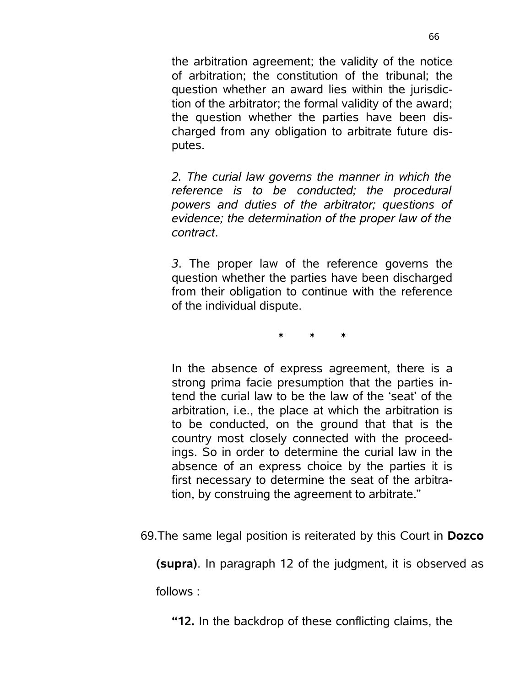the arbitration agreement; the validity of the notice of arbitration; the constitution of the tribunal; the question whether an award lies within the jurisdiction of the arbitrator; the formal validity of the award; the question whether the parties have been discharged from any obligation to arbitrate future disputes.

*2. The curial law governs the manner in which the reference is to be conducted; the procedural powers and duties of the arbitrator; questions of evidence; the determination of the proper law of the contract*.

*3*. The proper law of the reference governs the question whether the parties have been discharged from their obligation to continue with the reference of the individual dispute.

\* \* \*

In the absence of express agreement, there is a strong prima facie presumption that the parties intend the curial law to be the law of the 'seat' of the arbitration, i.e., the place at which the arbitration is to be conducted, on the ground that that is the country most closely connected with the proceedings. So in order to determine the curial law in the absence of an express choice by the parties it is first necessary to determine the seat of the arbitration, by construing the agreement to arbitrate."

69.The same legal position is reiterated by this Court in **Dozco**

**(supra)**. In paragraph 12 of the judgment, it is observed as

follows :

**"12.** In the backdrop of these conflicting claims, the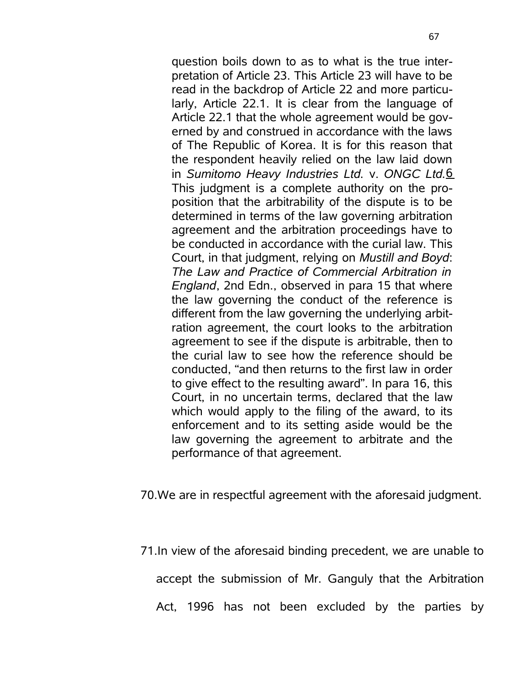question boils down to as to what is the true interpretation of Article 23. This Article 23 will have to be read in the backdrop of Article 22 and more particularly, Article 22.1. It is clear from the language of Article 22.1 that the whole agreement would be governed by and construed in accordance with the laws of The Republic of Korea. It is for this reason that the respondent heavily relied on the law laid down in *Sumitomo Heavy Industries Ltd.* v. *ONGC Ltd.*6 This judgment is a complete authority on the proposition that the arbitrability of the dispute is to be determined in terms of the law governing arbitration agreement and the arbitration proceedings have to be conducted in accordance with the curial law. This Court, in that judgment, relying on *Mustill and Boyd*: *The Law and Practice of Commercial Arbitration in England*, 2nd Edn., observed in para 15 that where the law governing the conduct of the reference is different from the law governing the underlying arbitration agreement, the court looks to the arbitration agreement to see if the dispute is arbitrable, then to the curial law to see how the reference should be conducted, "and then returns to the first law in order to give effect to the resulting award". In para 16, this Court, in no uncertain terms, declared that the law which would apply to the filing of the award, to its enforcement and to its setting aside would be the law governing the agreement to arbitrate and the performance of that agreement.

70.We are in respectful agreement with the aforesaid judgment.

71.In view of the aforesaid binding precedent, we are unable to

accept the submission of Mr. Ganguly that the Arbitration

Act, 1996 has not been excluded by the parties by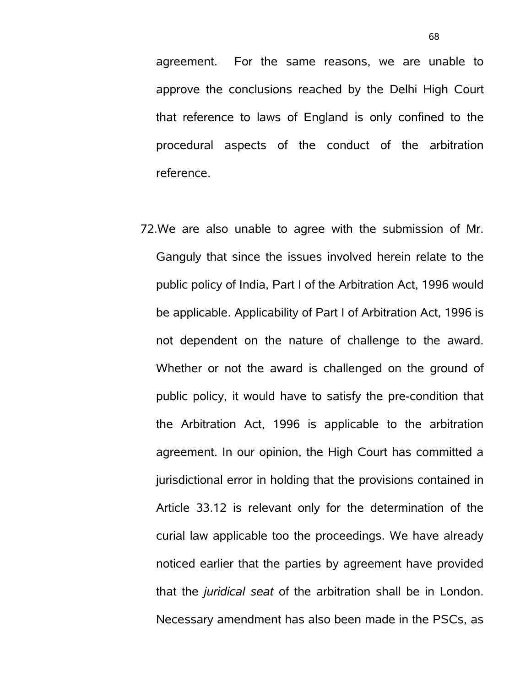agreement. For the same reasons, we are unable to approve the conclusions reached by the Delhi High Court that reference to laws of England is only confined to the procedural aspects of the conduct of the arbitration reference.

72.We are also unable to agree with the submission of Mr. Ganguly that since the issues involved herein relate to the public policy of India, Part I of the Arbitration Act, 1996 would be applicable. Applicability of Part I of Arbitration Act, 1996 is not dependent on the nature of challenge to the award. Whether or not the award is challenged on the ground of public policy, it would have to satisfy the pre-condition that the Arbitration Act, 1996 is applicable to the arbitration agreement. In our opinion, the High Court has committed a jurisdictional error in holding that the provisions contained in Article 33.12 is relevant only for the determination of the curial law applicable too the proceedings. We have already noticed earlier that the parties by agreement have provided that the *juridical seat* of the arbitration shall be in London. Necessary amendment has also been made in the PSCs, as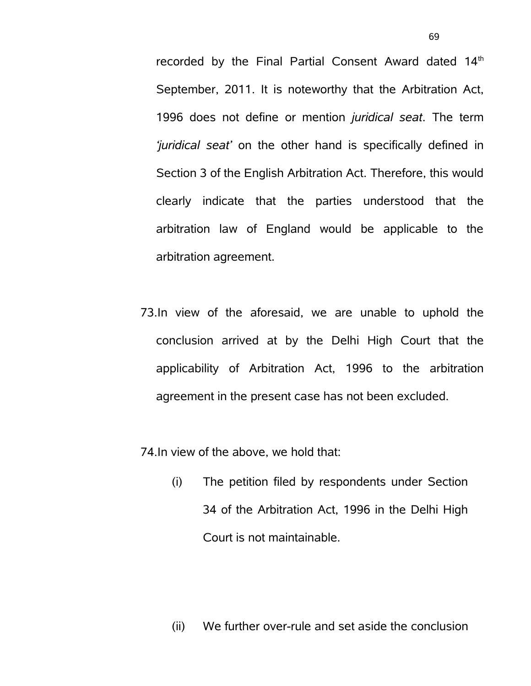recorded by the Final Partial Consent Award dated 14<sup>th</sup> September, 2011. It is noteworthy that the Arbitration Act, 1996 does not define or mention *juridical seat*. The term *'juridical seat'* on the other hand is specifically defined in Section 3 of the English Arbitration Act. Therefore, this would clearly indicate that the parties understood that the arbitration law of England would be applicable to the arbitration agreement.

73.In view of the aforesaid, we are unable to uphold the conclusion arrived at by the Delhi High Court that the applicability of Arbitration Act, 1996 to the arbitration agreement in the present case has not been excluded.

74.In view of the above, we hold that:

(i) The petition filed by respondents under Section 34 of the Arbitration Act, 1996 in the Delhi High Court is not maintainable.

(ii) We further over-rule and set aside the conclusion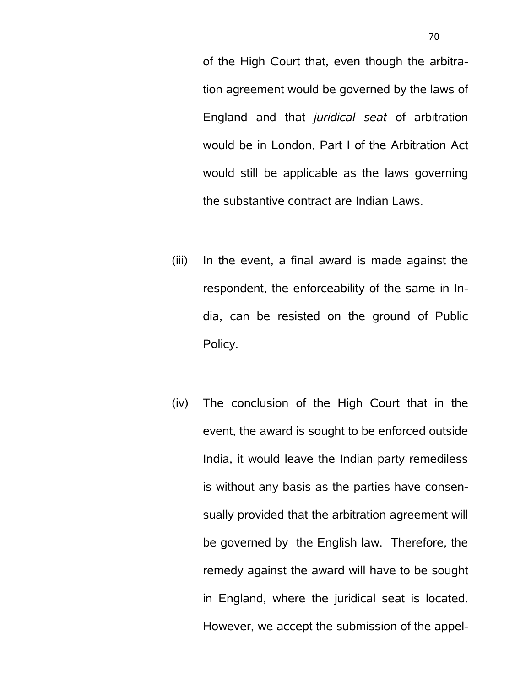of the High Court that, even though the arbitration agreement would be governed by the laws of England and that *juridical seat* of arbitration would be in London, Part I of the Arbitration Act would still be applicable as the laws governing the substantive contract are Indian Laws.

- (iii) In the event, a final award is made against the respondent, the enforceability of the same in India, can be resisted on the ground of Public Policy.
- (iv) The conclusion of the High Court that in the event, the award is sought to be enforced outside India, it would leave the Indian party remediless is without any basis as the parties have consensually provided that the arbitration agreement will be governed by the English law. Therefore, the remedy against the award will have to be sought in England, where the juridical seat is located. However, we accept the submission of the appel-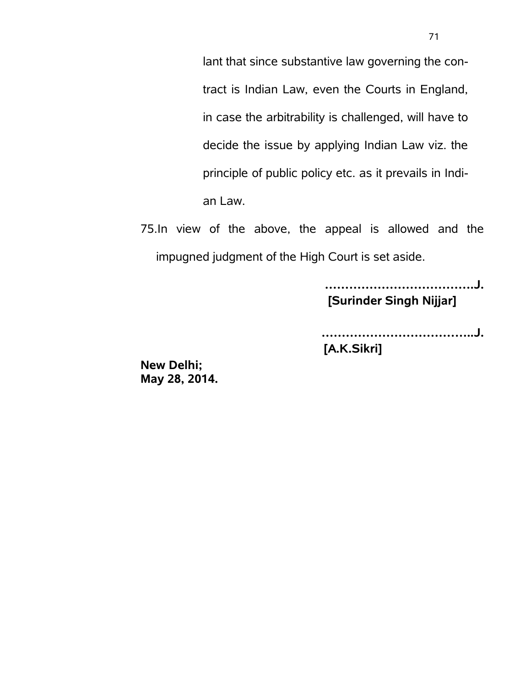lant that since substantive law governing the contract is Indian Law, even the Courts in England, in case the arbitrability is challenged, will have to decide the issue by applying Indian Law viz. the principle of public policy etc. as it prevails in Indian Law.

75.In view of the above, the appeal is allowed and the impugned judgment of the High Court is set aside.

> **……………………………….J. [Surinder Singh Nijjar]**

**………………………………..J. [A.K.Sikri]**

**New Delhi; May 28, 2014.**